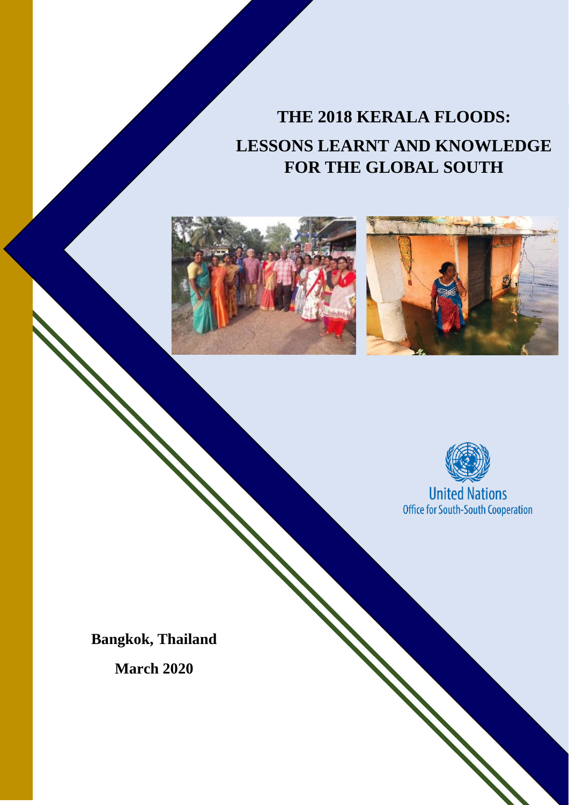# **THE 2018 KERALA FLOODS: LESSONS LEARNT AND KNOWLEDGE FOR THE GLOBAL SOUTH**







**Bangkok, Thailand**

**March 2020**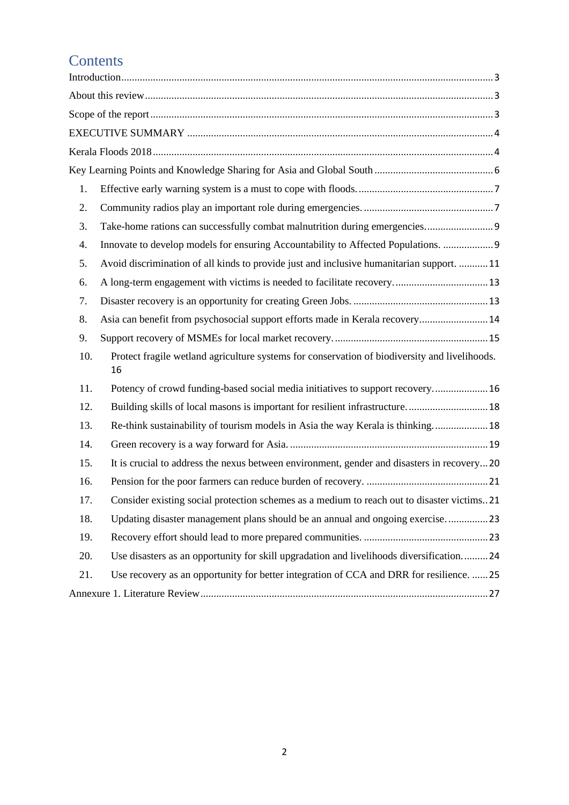## **Contents**

| 1.                                                                                                         |  |  |  |  |
|------------------------------------------------------------------------------------------------------------|--|--|--|--|
| 2.                                                                                                         |  |  |  |  |
| Take-home rations can successfully combat malnutrition during emergencies 9<br>3.                          |  |  |  |  |
| Innovate to develop models for ensuring Accountability to Affected Populations.  9<br>4.                   |  |  |  |  |
| Avoid discrimination of all kinds to provide just and inclusive humanitarian support.  11<br>5.            |  |  |  |  |
| 6.                                                                                                         |  |  |  |  |
| 7.                                                                                                         |  |  |  |  |
| Asia can benefit from psychosocial support efforts made in Kerala recovery 14<br>8.                        |  |  |  |  |
| 9.                                                                                                         |  |  |  |  |
| Protect fragile wetland agriculture systems for conservation of biodiversity and livelihoods.<br>10.<br>16 |  |  |  |  |
| Potency of crowd funding-based social media initiatives to support recovery 16<br>11.                      |  |  |  |  |
| Building skills of local masons is important for resilient infrastructure 18<br>12.                        |  |  |  |  |
| Re-think sustainability of tourism models in Asia the way Kerala is thinking 18<br>13.                     |  |  |  |  |
| 14.                                                                                                        |  |  |  |  |
| It is crucial to address the nexus between environment, gender and disasters in recovery20<br>15.          |  |  |  |  |
| 16.                                                                                                        |  |  |  |  |
| Consider existing social protection schemes as a medium to reach out to disaster victims. 21<br>17.        |  |  |  |  |
| 18.<br>Updating disaster management plans should be an annual and ongoing exercise23                       |  |  |  |  |
| 19.                                                                                                        |  |  |  |  |
| Use disasters as an opportunity for skill upgradation and livelihoods diversification24<br>20.             |  |  |  |  |
| Use recovery as an opportunity for better integration of CCA and DRR for resilience.  25<br>21.            |  |  |  |  |
|                                                                                                            |  |  |  |  |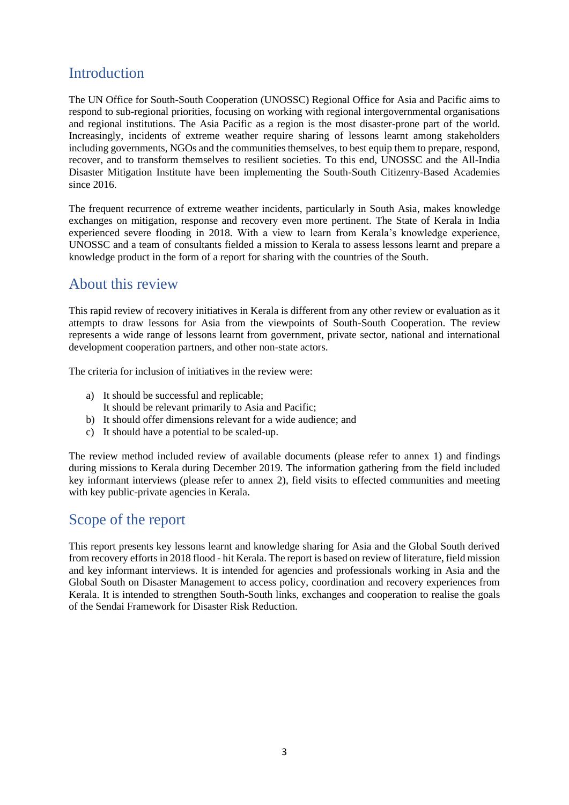## <span id="page-2-0"></span>Introduction

The UN Office for South-South Cooperation (UNOSSC) Regional Office for Asia and Pacific aims to respond to sub-regional priorities, focusing on working with regional intergovernmental organisations and regional institutions. The Asia Pacific as a region is the most disaster-prone part of the world. Increasingly, incidents of extreme weather require sharing of lessons learnt among stakeholders including governments, NGOs and the communities themselves, to best equip them to prepare, respond, recover, and to transform themselves to resilient societies. To this end, UNOSSC and the All-India Disaster Mitigation Institute have been implementing the South-South Citizenry-Based Academies since 2016.

The frequent recurrence of extreme weather incidents, particularly in South Asia, makes knowledge exchanges on mitigation, response and recovery even more pertinent. The State of Kerala in India experienced severe flooding in 2018. With a view to learn from Kerala's knowledge experience, UNOSSC and a team of consultants fielded a mission to Kerala to assess lessons learnt and prepare a knowledge product in the form of a report for sharing with the countries of the South.

## <span id="page-2-1"></span>About this review

This rapid review of recovery initiatives in Kerala is different from any other review or evaluation as it attempts to draw lessons for Asia from the viewpoints of South-South Cooperation. The review represents a wide range of lessons learnt from government, private sector, national and international development cooperation partners, and other non-state actors.

The criteria for inclusion of initiatives in the review were:

- a) It should be successful and replicable;
- It should be relevant primarily to Asia and Pacific; b) It should offer dimensions relevant for a wide audience; and
- 
- c) It should have a potential to be scaled-up.

The review method included review of available documents (please refer to annex 1) and findings during missions to Kerala during December 2019. The information gathering from the field included key informant interviews (please refer to annex 2), field visits to effected communities and meeting with key public-private agencies in Kerala.

## <span id="page-2-2"></span>Scope of the report

This report presents key lessons learnt and knowledge sharing for Asia and the Global South derived from recovery efforts in 2018 flood - hit Kerala. The report is based on review of literature, field mission and key informant interviews. It is intended for agencies and professionals working in Asia and the Global South on Disaster Management to access policy, coordination and recovery experiences from Kerala. It is intended to strengthen South-South links, exchanges and cooperation to realise the goals of the Sendai Framework for Disaster Risk Reduction.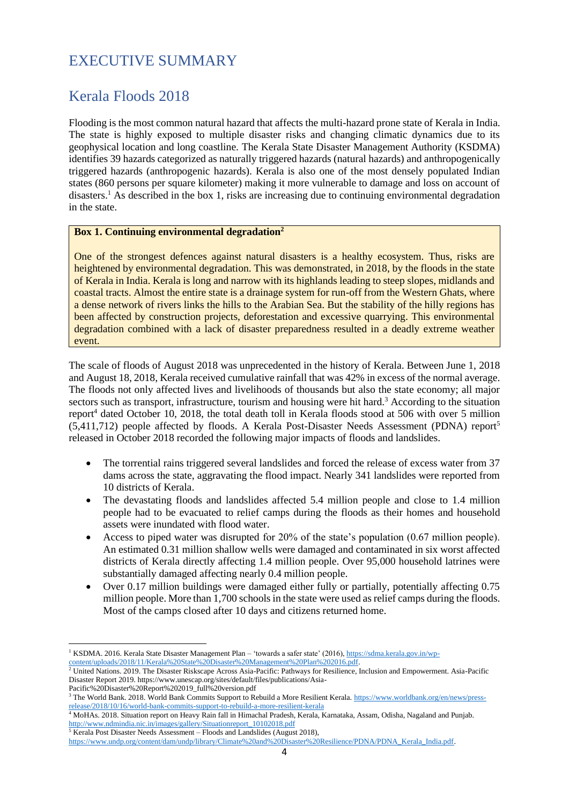## <span id="page-3-0"></span>EXECUTIVE SUMMARY

## <span id="page-3-1"></span>Kerala Floods 2018

Flooding is the most common natural hazard that affects the multi-hazard prone state of Kerala in India. The state is highly exposed to multiple disaster risks and changing climatic dynamics due to its geophysical location and long coastline. The Kerala State Disaster Management Authority (KSDMA) identifies 39 hazards categorized as naturally triggered hazards (natural hazards) and anthropogenically triggered hazards (anthropogenic hazards). Kerala is also one of the most densely populated Indian states (860 persons per square kilometer) making it more vulnerable to damage and loss on account of disasters.<sup>1</sup> As described in the box 1, risks are increasing due to continuing environmental degradation in the state.

### **Box 1. Continuing environmental degradation<sup>2</sup>**

One of the strongest defences against natural disasters is a healthy ecosystem. Thus, risks are heightened by environmental degradation. This was demonstrated, in 2018, by the floods in the state of Kerala in India. Kerala is long and narrow with its highlands leading to steep slopes, midlands and coastal tracts. Almost the entire state is a drainage system for run-off from the Western Ghats, where a dense network of rivers links the hills to the Arabian Sea. But the stability of the hilly regions has been affected by construction projects, deforestation and excessive quarrying. This environmental degradation combined with a lack of disaster preparedness resulted in a deadly extreme weather event.

The scale of floods of August 2018 was unprecedented in the history of Kerala. Between June 1, 2018 and August 18, 2018, Kerala received cumulative rainfall that was 42% in excess of the normal average. The floods not only affected lives and livelihoods of thousands but also the state economy; all major sectors such as transport, infrastructure, tourism and housing were hit hard.<sup>3</sup> According to the situation report<sup>4</sup> dated October 10, 2018, the total death toll in Kerala floods stood at 506 with over 5 million  $(5.411.712)$  people affected by floods. A Kerala Post-Disaster Needs Assessment (PDNA) report<sup>5</sup> released in October 2018 recorded the following major impacts of floods and landslides.

- The torrential rains triggered several landslides and forced the release of excess water from 37 dams across the state, aggravating the flood impact. Nearly 341 landslides were reported from 10 districts of Kerala.
- The devastating floods and landslides affected 5.4 million people and close to 1.4 million people had to be evacuated to relief camps during the floods as their homes and household assets were inundated with flood water.
- Access to piped water was disrupted for 20% of the state's population (0.67 million people). An estimated 0.31 million shallow wells were damaged and contaminated in six worst affected districts of Kerala directly affecting 1.4 million people. Over 95,000 household latrines were substantially damaged affecting nearly 0.4 million people.
- Over 0.17 million buildings were damaged either fully or partially, potentially affecting 0.75 million people. More than 1,700 schools in the state were used as relief camps during the floods. Most of the camps closed after 10 days and citizens returned home.

<sup>&</sup>lt;sup>1</sup> KSDMA. 2016. Kerala State Disaster Management Plan – 'towards a safer state' (2016)[, https://sdma.kerala.gov.in/wp](https://sdma.kerala.gov.in/wp-content/uploads/2018/11/Kerala%20State%20Disaster%20Management%20Plan%202016.pdf)[content/uploads/2018/11/Kerala%20State%20Disaster%20Management%20Plan%202016.pdf.](https://sdma.kerala.gov.in/wp-content/uploads/2018/11/Kerala%20State%20Disaster%20Management%20Plan%202016.pdf)

 $^2$  United Nations. 2019. The Disaster Riskscape Across Asia-Pacific: Pathways for Resilience, Inclusion and Empowerment. Asia-Pacific Disaster Report 2019. https://www.unescap.org/sites/default/files/publications/Asia-

Pacific%20Disaster%20Report%202019\_full%20version.pdf

<sup>&</sup>lt;sup>3</sup> The World Bank. 2018. World Bank Commits Support to Rebuild a More Resilient Kerala[. https://www.worldbank.org/en/news/press](https://www.worldbank.org/en/news/press-release/2018/10/16/world-bank-commits-support-to-rebuild-a-more-resilient-kerala)[release/2018/10/16/world-bank-commits-support-to-rebuild-a-more-resilient-kerala](https://www.worldbank.org/en/news/press-release/2018/10/16/world-bank-commits-support-to-rebuild-a-more-resilient-kerala)

<sup>4</sup> MoHAs. 2018. Situation report on Heavy Rain fall in Himachal Pradesh, Kerala, Karnataka, Assam, Odisha, Nagaland and Punjab. [http://www.ndmindia.nic.in/images/gallery/Situationreport\\_10102018.pdf](http://www.ndmindia.nic.in/images/gallery/Situationreport_10102018.pdf)

<sup>&</sup>lt;sup>5</sup> Kerala Post Disaster Needs Assessment – Floods and Landslides (August 2018),

[https://www.undp.org/content/dam/undp/library/Climate%20and%20Disaster%20Resilience/PDNA/PDNA\\_Kerala\\_India.pdf.](https://www.undp.org/content/dam/undp/library/Climate%20and%20Disaster%20Resilience/PDNA/PDNA_Kerala_India.pdf)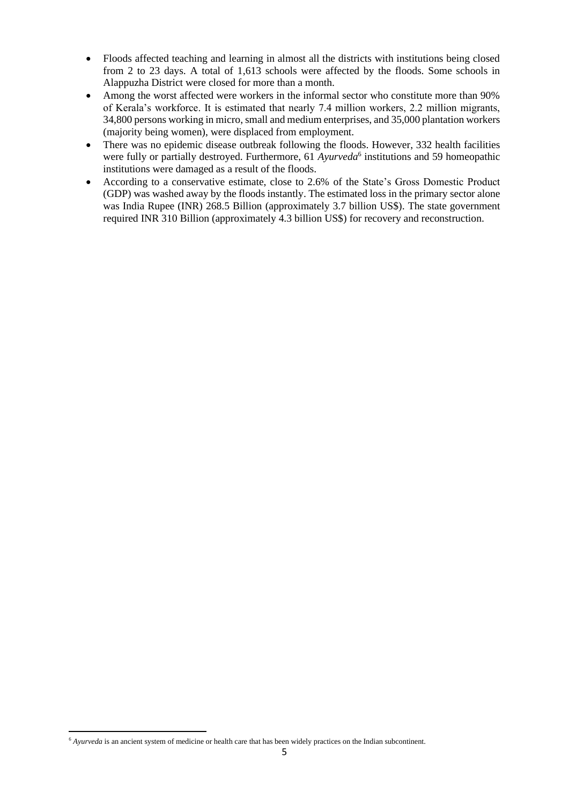- Floods affected teaching and learning in almost all the districts with institutions being closed from 2 to 23 days. A total of 1,613 schools were affected by the floods. Some schools in Alappuzha District were closed for more than a month.
- Among the worst affected were workers in the informal sector who constitute more than 90% of Kerala's workforce. It is estimated that nearly 7.4 million workers, 2.2 million migrants, 34,800 persons working in micro, small and medium enterprises, and 35,000 plantation workers (majority being women), were displaced from employment.
- There was no epidemic disease outbreak following the floods. However, 332 health facilities were fully or partially destroyed. Furthermore, 61 *Ayurveda*<sup>6</sup> institutions and 59 homeopathic institutions were damaged as a result of the floods.
- According to a conservative estimate, close to 2.6% of the State's Gross Domestic Product (GDP) was washed away by the floods instantly. The estimated loss in the primary sector alone was India Rupee (INR) 268.5 Billion (approximately 3.7 billion US\$). The state government required INR 310 Billion (approximately 4.3 billion US\$) for recovery and reconstruction.

<sup>6</sup> *Ayurveda* is an ancient system of medicine or health care that has been widely practices on the Indian subcontinent.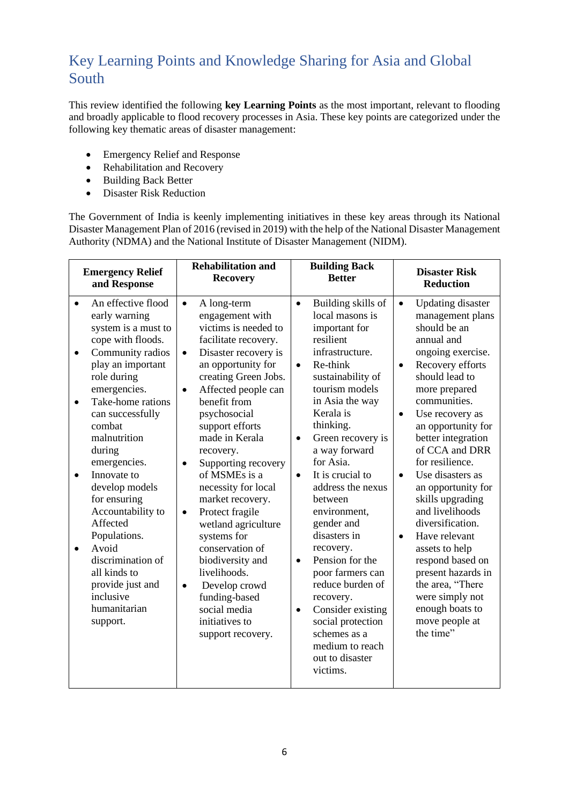## <span id="page-5-0"></span>Key Learning Points and Knowledge Sharing for Asia and Global South

This review identified the following **key Learning Points** as the most important, relevant to flooding and broadly applicable to flood recovery processes in Asia. These key points are categorized under the following key thematic areas of disaster management:

- Emergency Relief and Response
- Rehabilitation and Recovery
- Building Back Better
- Disaster Risk Reduction

The Government of India is keenly implementing initiatives in these key areas through its National Disaster Management Plan of 2016 (revised in 2019) with the help of the National Disaster Management Authority (NDMA) and the National Institute of Disaster Management (NIDM).

| <b>Emergency Relief</b>                                                                                                                                                                                                                                                                                                                                                                                                                                                                                                            | <b>Rehabilitation and</b>                                                                                                                                                                                                                                                                                                                                                                                                                                                                                                                                                                                                               | <b>Building Back</b>                                                                                                                                                                                                                                                                                                                                                                                                                                                                                                                                                                                                       | <b>Disaster Risk</b>                                                                                                                                                                                                                                                                                                                                                                                                                                                                                                                                                                                                   |
|------------------------------------------------------------------------------------------------------------------------------------------------------------------------------------------------------------------------------------------------------------------------------------------------------------------------------------------------------------------------------------------------------------------------------------------------------------------------------------------------------------------------------------|-----------------------------------------------------------------------------------------------------------------------------------------------------------------------------------------------------------------------------------------------------------------------------------------------------------------------------------------------------------------------------------------------------------------------------------------------------------------------------------------------------------------------------------------------------------------------------------------------------------------------------------------|----------------------------------------------------------------------------------------------------------------------------------------------------------------------------------------------------------------------------------------------------------------------------------------------------------------------------------------------------------------------------------------------------------------------------------------------------------------------------------------------------------------------------------------------------------------------------------------------------------------------------|------------------------------------------------------------------------------------------------------------------------------------------------------------------------------------------------------------------------------------------------------------------------------------------------------------------------------------------------------------------------------------------------------------------------------------------------------------------------------------------------------------------------------------------------------------------------------------------------------------------------|
| and Response                                                                                                                                                                                                                                                                                                                                                                                                                                                                                                                       | <b>Recovery</b>                                                                                                                                                                                                                                                                                                                                                                                                                                                                                                                                                                                                                         | <b>Better</b>                                                                                                                                                                                                                                                                                                                                                                                                                                                                                                                                                                                                              | <b>Reduction</b>                                                                                                                                                                                                                                                                                                                                                                                                                                                                                                                                                                                                       |
| An effective flood<br>$\bullet$<br>early warning<br>system is a must to<br>cope with floods.<br>Community radios<br>$\bullet$<br>play an important<br>role during<br>emergencies.<br>Take-home rations<br>$\bullet$<br>can successfully<br>combat<br>malnutrition<br>during<br>emergencies.<br>Innovate to<br>$\bullet$<br>develop models<br>for ensuring<br>Accountability to<br>Affected<br>Populations.<br>Avoid<br>$\bullet$<br>discrimination of<br>all kinds to<br>provide just and<br>inclusive<br>humanitarian<br>support. | A long-term<br>$\bullet$<br>engagement with<br>victims is needed to<br>facilitate recovery.<br>Disaster recovery is<br>$\bullet$<br>an opportunity for<br>creating Green Jobs.<br>Affected people can<br>$\bullet$<br>benefit from<br>psychosocial<br>support efforts<br>made in Kerala<br>recovery.<br>Supporting recovery<br>$\bullet$<br>of MSMEs is a<br>necessity for local<br>market recovery.<br>Protect fragile<br>$\bullet$<br>wetland agriculture<br>systems for<br>conservation of<br>biodiversity and<br>livelihoods.<br>Develop crowd<br>$\bullet$<br>funding-based<br>social media<br>initiatives to<br>support recovery. | Building skills of<br>$\bullet$<br>local masons is<br>important for<br>resilient<br>infrastructure.<br>Re-think<br>$\bullet$<br>sustainability of<br>tourism models<br>in Asia the way<br>Kerala is<br>thinking.<br>Green recovery is<br>$\bullet$<br>a way forward<br>for Asia.<br>It is crucial to<br>$\bullet$<br>address the nexus<br>between<br>environment,<br>gender and<br>disasters in<br>recovery.<br>Pension for the<br>$\bullet$<br>poor farmers can<br>reduce burden of<br>recovery.<br>Consider existing<br>$\bullet$<br>social protection<br>schemes as a<br>medium to reach<br>out to disaster<br>victims. | <b>Updating disaster</b><br>$\bullet$<br>management plans<br>should be an<br>annual and<br>ongoing exercise.<br>Recovery efforts<br>$\bullet$<br>should lead to<br>more prepared<br>communities.<br>Use recovery as<br>$\bullet$<br>an opportunity for<br>better integration<br>of CCA and DRR<br>for resilience.<br>Use disasters as<br>$\bullet$<br>an opportunity for<br>skills upgrading<br>and livelihoods<br>diversification.<br>Have relevant<br>$\bullet$<br>assets to help<br>respond based on<br>present hazards in<br>the area, "There<br>were simply not<br>enough boats to<br>move people at<br>the time" |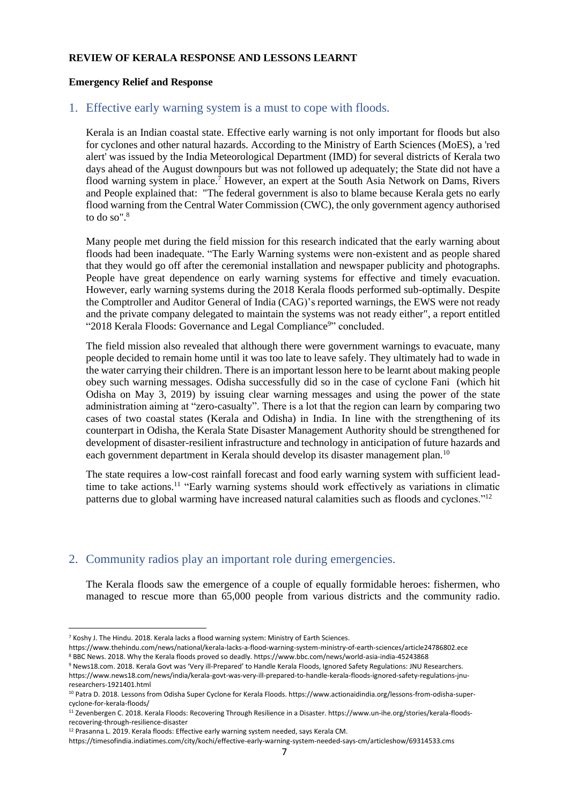#### **REVIEW OF KERALA RESPONSE AND LESSONS LEARNT**

#### **Emergency Relief and Response**

### <span id="page-6-0"></span>1. Effective early warning system is a must to cope with floods.

Kerala is an Indian coastal state. Effective early warning is not only important for floods but also for cyclones and other natural hazards. According to the Ministry of Earth Sciences (MoES), a 'red alert' was issued by the India Meteorological Department (IMD) for several districts of Kerala two days ahead of the August downpours but was not followed up adequately; the State did not have a flood warning system in place.<sup>7</sup> However, an expert at the South Asia Network on Dams, Rivers and People explained that: "The federal government is also to blame because Kerala gets no early flood warning from the Central Water Commission (CWC), the only government agency authorised to do so".<sup>8</sup>

Many people met during the field mission for this research indicated that the early warning about floods had been inadequate. "The Early Warning systems were non-existent and as people shared that they would go off after the ceremonial installation and newspaper publicity and photographs. People have great dependence on early warning systems for effective and timely evacuation. However, early warning systems during the 2018 Kerala floods performed sub-optimally. Despite the Comptroller and Auditor General of India (CAG)'s reported warnings, the EWS were not ready and the private company delegated to maintain the systems was not ready either", a report entitled "2018 Kerala Floods: Governance and Legal Compliance<sup>9</sup>" concluded.

The field mission also revealed that although there were government warnings to evacuate, many people decided to remain home until it was too late to leave safely. They ultimately had to wade in the water carrying their children. There is an important lesson here to be learnt about making people obey such warning messages. Odisha successfully did so in the case of cyclone Fani (which hit Odisha on May 3, 2019) by issuing clear warning messages and using the power of the state administration aiming at "zero-casualty". There is a lot that the region can learn by comparing two cases of two coastal states (Kerala and Odisha) in India. In line with the strengthening of its counterpart in Odisha, the Kerala State Disaster Management Authority should be strengthened for development of disaster-resilient infrastructure and technology in anticipation of future hazards and each government department in Kerala should develop its disaster management plan.<sup>10</sup>

The state requires a low-cost rainfall forecast and food early warning system with sufficient leadtime to take actions.<sup>11</sup> "Early warning systems should work effectively as variations in climatic patterns due to global warming have increased natural calamities such as floods and cyclones."<sup>12</sup>

## <span id="page-6-1"></span>2. Community radios play an important role during emergencies.

The Kerala floods saw the emergence of a couple of equally formidable heroes: fishermen, who managed to rescue more than 65,000 people from various districts and the community radio.

researchers-1921401.html

<sup>&</sup>lt;sup>7</sup> Koshy J. The Hindu. 2018. Kerala lacks a flood warning system: Ministry of Earth Sciences.

https://www.thehindu.com/news/national/kerala-lacks-a-flood-warning-system-ministry-of-earth-sciences/article24786802.ece <sup>8</sup> BBC News. 2018. Why the Kerala floods proved so deadly. https://www.bbc.com/news/world-asia-india-45243868

<sup>9</sup> News18.com. 2018. Kerala Govt was 'Very ill-Prepared' to Handle Kerala Floods, Ignored Safety Regulations: JNU Researchers. https://www.news18.com/news/india/kerala-govt-was-very-ill-prepared-to-handle-kerala-floods-ignored-safety-regulations-jnu-

<sup>&</sup>lt;sup>10</sup> Patra D. 2018. Lessons from Odisha Super Cyclone for Kerala Floods. https://www.actionaidindia.org/lessons-from-odisha-supercyclone-for-kerala-floods/

<sup>11</sup> Zevenbergen C. 2018. Kerala Floods: Recovering Through Resilience in a Disaster. https://www.un-ihe.org/stories/kerala-floodsrecovering-through-resilience-disaster

<sup>&</sup>lt;sup>12</sup> Prasanna L. 2019. Kerala floods: Effective early warning system needed, says Kerala CM.

https://timesofindia.indiatimes.com/city/kochi/effective-early-warning-system-needed-says-cm/articleshow/69314533.cms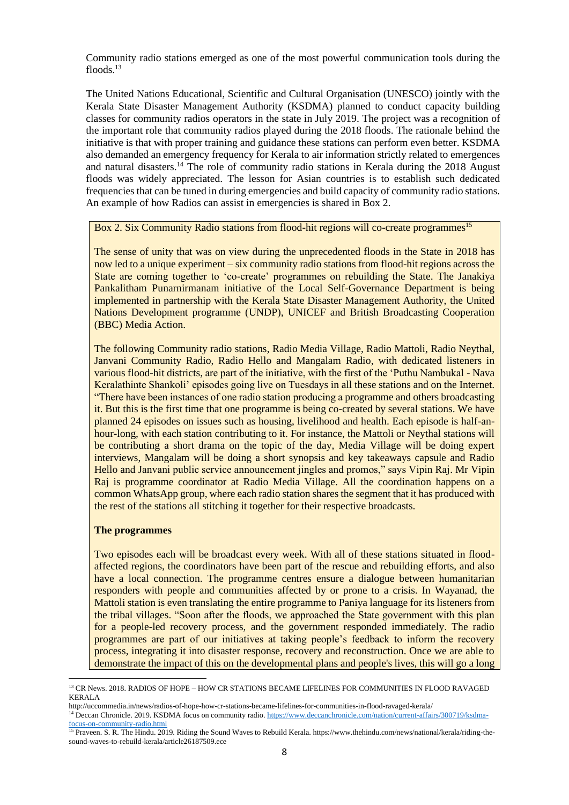Community radio stations emerged as one of the most powerful communication tools during the floods.<sup>13</sup>

The United Nations Educational, Scientific and Cultural Organisation (UNESCO) jointly with the Kerala State Disaster Management Authority (KSDMA) planned to conduct capacity building classes for community radios operators in the state in July 2019. The project was a recognition of the important role that community radios played during the 2018 floods. The rationale behind the initiative is that with proper training and guidance these stations can perform even better. KSDMA also demanded an emergency frequency for Kerala to air information strictly related to emergences and natural disasters.<sup>14</sup> The role of community radio stations in Kerala during the 2018 August floods was widely appreciated. The lesson for Asian countries is to establish such dedicated frequencies that can be tuned in during emergencies and build capacity of community radio stations. An example of how Radios can assist in emergencies is shared in Box 2.

Box 2. Six Community Radio stations from flood-hit regions will co-create programmes<sup>15</sup>

The sense of unity that was on view during the unprecedented floods in the State in 2018 has now led to a unique experiment – six community radio stations from flood-hit regions across the State are coming together to 'co-create' programmes on rebuilding the State. The Janakiya Pankalitham Punarnirmanam initiative of the Local Self-Governance Department is being implemented in partnership with the Kerala State Disaster Management Authority, the United Nations Development programme (UNDP), UNICEF and British Broadcasting Cooperation (BBC) Media Action.

The following Community radio stations, Radio Media Village, Radio Mattoli, Radio Neythal, Janvani Community Radio, Radio Hello and Mangalam Radio, with dedicated listeners in various flood-hit districts, are part of the initiative, with the first of the 'Puthu Nambukal - Nava Keralathinte Shankoli' episodes going live on Tuesdays in all these stations and on the Internet. "There have been instances of one radio station producing a programme and others broadcasting it. But this is the first time that one programme is being co-created by several stations. We have planned 24 episodes on issues such as housing, livelihood and health. Each episode is half-anhour-long, with each station contributing to it. For instance, the Mattoli or Neythal stations will be contributing a short drama on the topic of the day, Media Village will be doing expert interviews, Mangalam will be doing a short synopsis and key takeaways capsule and Radio Hello and Janvani public service announcement jingles and promos," says Vipin Raj. Mr Vipin Raj is programme coordinator at Radio Media Village. All the coordination happens on a common WhatsApp group, where each radio station shares the segment that it has produced with the rest of the stations all stitching it together for their respective broadcasts.

#### **The programmes**

Two episodes each will be broadcast every week. With all of these stations situated in floodaffected regions, the coordinators have been part of the rescue and rebuilding efforts, and also have a local connection. The programme centres ensure a dialogue between humanitarian responders with people and communities affected by or prone to a crisis. In Wayanad, the Mattoli station is even translating the entire programme to Paniya language for its listeners from the tribal villages. "Soon after the floods, we approached the State government with this plan for a people-led recovery process, and the government responded immediately. The radio programmes are part of our initiatives at taking people's feedback to inform the recovery process, integrating it into disaster response, recovery and reconstruction. Once we are able to demonstrate the impact of this on the developmental plans and people's lives, this will go a long

<sup>&</sup>lt;sup>13</sup> CR News. 2018. RADIOS OF HOPE – HOW CR STATIONS BECAME LIFELINES FOR COMMUNITIES IN FLOOD RAVAGED KERALA

http://uccommedia.in/news/radios-of-hope-how-cr-stations-became-lifelines-for-communities-in-flood-ravaged-kerala/

<sup>&</sup>lt;sup>14</sup> Deccan Chronicle. 2019. KSDMA focus on community radio[. https://www.deccanchronicle.com/nation/current-affairs/300719/ksdma](https://www.deccanchronicle.com/nation/current-affairs/300719/ksdma-focus-on-community-radio.html)[focus-on-community-radio.html](https://www.deccanchronicle.com/nation/current-affairs/300719/ksdma-focus-on-community-radio.html)

<sup>&</sup>lt;sup>15</sup> Praveen. S. R. The Hindu. 2019. Riding the Sound Waves to Rebuild Kerala. https://www.thehindu.com/news/national/kerala/riding-thesound-waves-to-rebuild-kerala/article26187509.ece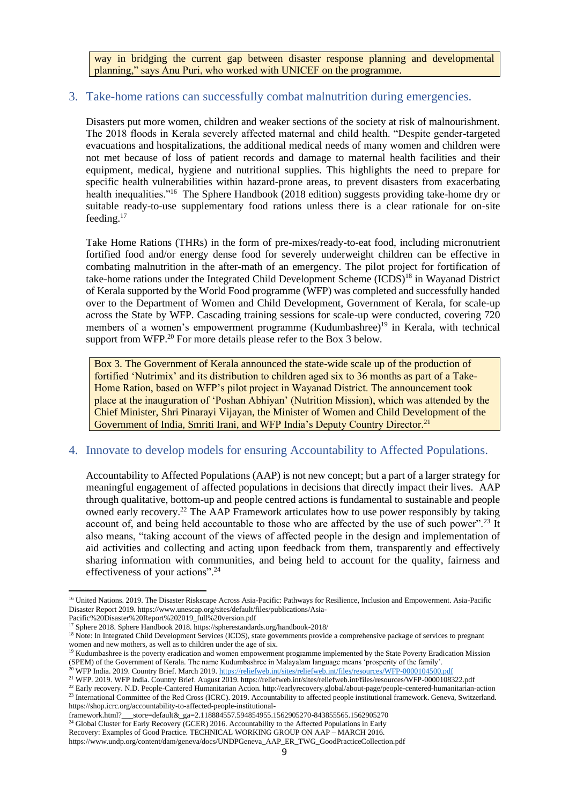way in bridging the current gap between disaster response planning and developmental planning," says Anu Puri, who worked with UNICEF on the programme.

## <span id="page-8-0"></span>3. Take-home rations can successfully combat malnutrition during emergencies.

Disasters put more women, children and weaker sections of the society at risk of malnourishment. The 2018 floods in Kerala severely affected maternal and child health. "Despite gender-targeted evacuations and hospitalizations, the additional medical needs of many women and children were not met because of loss of patient records and damage to maternal health facilities and their equipment, medical, hygiene and nutritional supplies. This highlights the need to prepare for specific health vulnerabilities within hazard-prone areas, to prevent disasters from exacerbating health inequalities."<sup>16</sup> The Sphere Handbook (2018 edition) suggests providing take-home dry or suitable ready-to-use supplementary food rations unless there is a clear rationale for on-site feeding.<sup>17</sup>

Take Home Rations (THRs) in the form of pre-mixes/ready-to-eat food, including micronutrient fortified food and/or energy dense food for severely underweight children can be effective in combating malnutrition in the after-math of an emergency. The pilot project for fortification of take-home rations under the Integrated Child Development Scheme (ICDS)<sup>18</sup> in Wayanad District of Kerala supported by the World Food programme (WFP) was completed and successfully handed over to the Department of Women and Child Development, Government of Kerala, for scale-up across the State by WFP. Cascading training sessions for scale-up were conducted, covering 720 members of a women's empowerment programme (Kudumbashree) <sup>19</sup> in Kerala, with technical support from WFP.<sup>20</sup> For more details please refer to the Box 3 below.

Box 3. The Government of Kerala announced the state-wide scale up of the production of fortified 'Nutrimix' and its distribution to children aged six to 36 months as part of a Take-Home Ration, based on WFP's pilot project in Wayanad District. The announcement took place at the inauguration of 'Poshan Abhiyan' (Nutrition Mission), which was attended by the Chief Minister, Shri Pinarayi Vijayan, the Minister of Women and Child Development of the Government of India, Smriti Irani, and WFP India's Deputy Country Director.<sup>21</sup>

## <span id="page-8-1"></span>4. Innovate to develop models for ensuring Accountability to Affected Populations.

Accountability to Affected Populations (AAP) is not new concept; but a part of a larger strategy for meaningful engagement of affected populations in decisions that directly impact their lives. AAP through qualitative, bottom-up and people centred actions is fundamental to sustainable and people owned early recovery.<sup>22</sup> The AAP Framework articulates how to use power responsibly by taking account of, and being held accountable to those who are affected by the use of such power".<sup>23</sup> It also means, "taking account of the views of affected people in the design and implementation of aid activities and collecting and acting upon feedback from them, transparently and effectively sharing information with communities, and being held to account for the quality, fairness and effectiveness of your actions".<sup>24</sup>

framework.html?\_\_\_store=default&\_ga=2.118884557.594854955.1562905270-843855565.1562905270

 $24$  Global Cluster for Early Recovery (GCER) 2016. Accountability to the Affected Populations in Early

Recovery: Examples of Good Practice. TECHNICAL WORKING GROUP ON AAP – MARCH 2016.

<sup>&</sup>lt;sup>16</sup> United Nations. 2019. The Disaster Riskscape Across Asia-Pacific: Pathways for Resilience, Inclusion and Empowerment. Asia-Pacific Disaster Report 2019. https://www.unescap.org/sites/default/files/publications/Asia-

Pacific%20Disaster%20Report%202019\_full%20version.pdf

<sup>&</sup>lt;sup>17</sup> Sphere 2018. Sphere Handbook 2018. https://spherestandards.org/handbook-2018/

<sup>&</sup>lt;sup>18</sup> Note: In Integrated Child Development Services (ICDS), state governments provide a comprehensive package of services to pregnant women and new mothers, as well as to children under the age of six.

<sup>&</sup>lt;sup>19</sup> Kudumbashree is the poverty eradication and women empowerment programme implemented by the State Poverty Eradication Mission (SPEM) of the Government of Kerala. The name Kudumbashree in Malayalam language means 'prosperity of the family'.

<sup>20</sup> WFP India. 2019. Country Brief. March 2019[. https://reliefweb.int/sites/reliefweb.int/files/resources/WFP-0000104500.pdf](https://reliefweb.int/sites/reliefweb.int/files/resources/WFP-0000104500.pdf)

<sup>&</sup>lt;sup>21</sup> WFP. 2019. WFP India. Country Brief. August 2019. https://reliefweb.int/sites/reliefweb.int/files/resources/WFP-0000108322.pdf <sup>22</sup> Early recovery. N.D. People-Cantered Humanitarian Action. http://earlyrecovery.global/about-page/people-centered-humanitarian-action <sup>23</sup> International Committee of the Red Cross (ICRC). 2019. Accountability to affected people institutional framework. Geneva, Switzerland. https://shop.icrc.org/accountability-to-affected-people-institutional-

https://www.undp.org/content/dam/geneva/docs/UNDPGeneva\_AAP\_ER\_TWG\_GoodPracticeCollection.pdf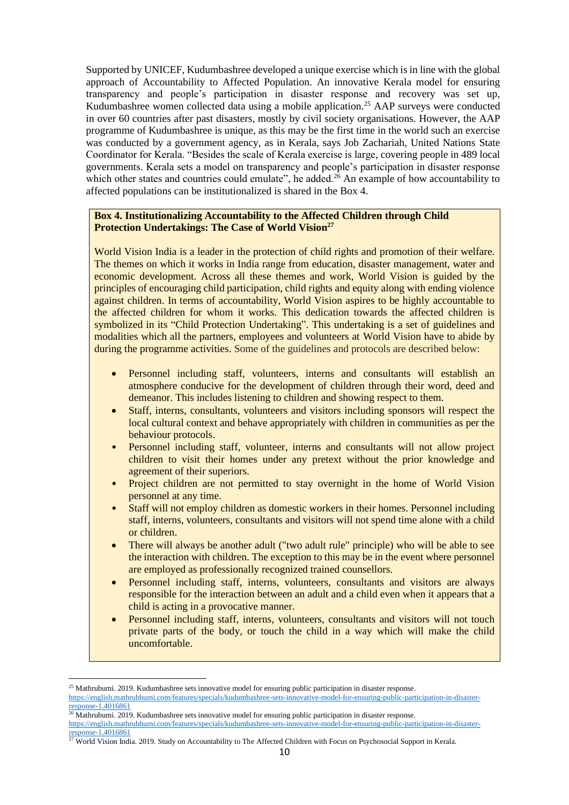Supported by UNICEF, Kudumbashree developed a unique exercise which is in line with the global approach of Accountability to Affected Population. An innovative Kerala model for ensuring transparency and people's participation in disaster response and recovery was set up, Kudumbashree women collected data using a mobile application.<sup>25</sup> AAP surveys were conducted in over 60 countries after past disasters, mostly by civil society organisations. However, the AAP programme of Kudumbashree is unique, as this may be the first time in the world such an exercise was conducted by a government agency, as in Kerala, says Job Zachariah, United Nations State Coordinator for Kerala. "Besides the scale of Kerala exercise is large, covering people in 489 local governments. Kerala sets a model on transparency and people's participation in disaster response which other states and countries could emulate", he added.<sup>26</sup> An example of how accountability to affected populations can be institutionalized is shared in the Box 4.

#### **Box 4. Institutionalizing Accountability to the Affected Children through Child Protection Undertakings: The Case of World Vision<sup>27</sup>**

World Vision India is a leader in the protection of child rights and promotion of their welfare. The themes on which it works in India range from education, disaster management, water and economic development. Across all these themes and work, World Vision is guided by the principles of encouraging child participation, child rights and equity along with ending violence against children. In terms of accountability, World Vision aspires to be highly accountable to the affected children for whom it works. This dedication towards the affected children is symbolized in its "Child Protection Undertaking". This undertaking is a set of guidelines and modalities which all the partners, employees and volunteers at World Vision have to abide by during the programme activities. Some of the guidelines and protocols are described below:

- Personnel including staff, volunteers, interns and consultants will establish an atmosphere conducive for the development of children through their word, deed and demeanor. This includes listening to children and showing respect to them.
- Staff, interns, consultants, volunteers and visitors including sponsors will respect the local cultural context and behave appropriately with children in communities as per the behaviour protocols.
- Personnel including staff, volunteer, interns and consultants will not allow project children to visit their homes under any pretext without the prior knowledge and agreement of their superiors.
- Project children are not permitted to stay overnight in the home of World Vision personnel at any time.
- Staff will not employ children as domestic workers in their homes. Personnel including staff, interns, volunteers, consultants and visitors will not spend time alone with a child or children.
- There will always be another adult ("two adult rule" principle) who will be able to see the interaction with children. The exception to this may be in the event where personnel are employed as professionally recognized trained counsellors.
- Personnel including staff, interns, volunteers, consultants and visitors are always responsible for the interaction between an adult and a child even when it appears that a child is acting in a provocative manner.
- Personnel including staff, interns, volunteers, consultants and visitors will not touch private parts of the body, or touch the child in a way which will make the child uncomfortable.

<sup>&</sup>lt;sup>25</sup> Mathrubumi. 2019. Kudumbashree sets innovative model for ensuring public participation in disaster response.

[https://english.mathrubhumi.com/features/specials/kudumbashree-sets-innovative-model-for-ensuring-public-participation-in-disaster](https://english.mathrubhumi.com/features/specials/kudumbashree-sets-innovative-model-for-ensuring-public-participation-in-disaster-response-1.4016861)[response-1.4016861](https://english.mathrubhumi.com/features/specials/kudumbashree-sets-innovative-model-for-ensuring-public-participation-in-disaster-response-1.4016861)

 $^{26}$  Mathrubumi. 2019. Kudumbashree sets innovative model for ensuring public participation in disaster response.

[https://english.mathrubhumi.com/features/specials/kudumbashree-sets-innovative-model-for-ensuring-public-participation-in-disaster](https://english.mathrubhumi.com/features/specials/kudumbashree-sets-innovative-model-for-ensuring-public-participation-in-disaster-response-1.4016861)[response-1.4016861](https://english.mathrubhumi.com/features/specials/kudumbashree-sets-innovative-model-for-ensuring-public-participation-in-disaster-response-1.4016861)

<sup>&</sup>lt;sup>27</sup> World Vision India. 2019. Study on Accountability to The Affected Children with Focus on Psychosocial Support in Kerala.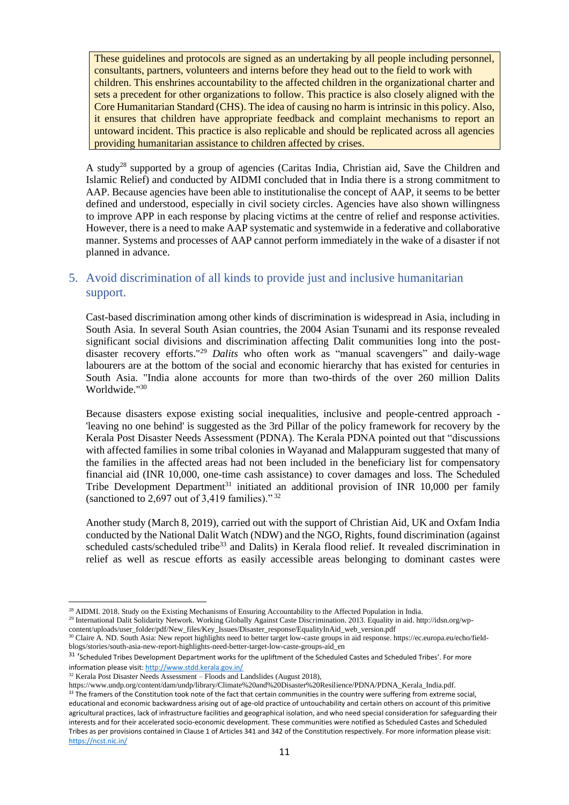These guidelines and protocols are signed as an undertaking by all people including personnel, consultants, partners, volunteers and interns before they head out to the field to work with children. This enshrines accountability to the affected children in the organizational charter and sets a precedent for other organizations to follow. This practice is also closely aligned with the Core Humanitarian Standard (CHS). The idea of causing no harm is intrinsic in this policy. Also, it ensures that children have appropriate feedback and complaint mechanisms to report an untoward incident. This practice is also replicable and should be replicated across all agencies providing humanitarian assistance to children affected by crises.

A study<sup>28</sup> supported by a group of agencies (Caritas India, Christian aid, Save the Children and Islamic Relief) and conducted by AIDMI concluded that in India there is a strong commitment to AAP. Because agencies have been able to institutionalise the concept of AAP, it seems to be better defined and understood, especially in civil society circles. Agencies have also shown willingness to improve APP in each response by placing victims at the centre of relief and response activities. However, there is a need to make AAP systematic and systemwide in a federative and collaborative manner. Systems and processes of AAP cannot perform immediately in the wake of a disaster if not planned in advance.

## <span id="page-10-0"></span>5. Avoid discrimination of all kinds to provide just and inclusive humanitarian support.

Cast-based discrimination among other kinds of discrimination is widespread in Asia, including in South Asia. In several South Asian countries, the 2004 Asian Tsunami and its response revealed significant social divisions and discrimination affecting Dalit communities long into the postdisaster recovery efforts."<sup>29</sup> *Dalits* who often work as "manual scavengers" and daily-wage labourers are at the bottom of the social and economic hierarchy that has existed for centuries in South Asia. "India alone accounts for more than two-thirds of the over 260 million Dalits Worldwide."<sup>30</sup>

Because disasters expose existing social inequalities, inclusive and people-centred approach - 'leaving no one behind' is suggested as the 3rd Pillar of the policy framework for recovery by the Kerala Post Disaster Needs Assessment (PDNA). The Kerala PDNA pointed out that "discussions with affected families in some tribal colonies in Wayanad and Malappuram suggested that many of the families in the affected areas had not been included in the beneficiary list for compensatory financial aid (INR 10,000, one-time cash assistance) to cover damages and loss. The Scheduled Tribe Development Department<sup>31</sup> initiated an additional provision of INR 10,000 per family (sanctioned to 2,697 out of 3,419 families)."  $32$ 

Another study (March 8, 2019), carried out with the support of Christian Aid, UK and Oxfam India conducted by the National Dalit Watch (NDW) and the NGO, Rights, found discrimination (against scheduled casts/scheduled tribe<sup>33</sup> and Dalits) in Kerala flood relief. It revealed discrimination in relief as well as rescue efforts as easily accessible areas belonging to dominant castes were

<sup>29</sup> International Dalit Solidarity Network. Working Globally Against Caste Discrimination. 2013. Equality in aid. http://idsn.org/wpcontent/uploads/user\_folder/pdf/New\_files/Key\_Issues/Disaster\_response/EqualityInAid\_web\_version.pdf

<sup>&</sup>lt;sup>28</sup> AIDMI. 2018. Study on the Existing Mechanisms of Ensuring Accountability to the Affected Population in India.

<sup>&</sup>lt;sup>30</sup> Claire A. ND. South Asia: New report highlights need to better target low-caste groups in aid response. https://ec.europa.eu/echo/fieldblogs/stories/south-asia-new-report-highlights-need-better-target-low-caste-groups-aid\_en

<sup>&</sup>lt;sup>31</sup> 'Scheduled Tribes Development Department works for the upliftment of the Scheduled Castes and Scheduled Tribes'. For more information please visit[: http://www.stdd.kerala.gov.in/](http://www.stdd.kerala.gov.in/)

 $32$  Kerala Post Disaster Needs Assessment – Floods and Landslides (August 2018),

https://www.undp.org/content/dam/undp/library/Climate%20and%20Disaster%20Resilience/PDNA/PDNA\_Kerala\_India.pdf.

<sup>&</sup>lt;sup>33</sup> The framers of the Constitution took note of the fact that certain communities in the country were suffering from extreme social, educational and economic backwardness arising out of age-old practice of untouchability and certain others on account of this primitive agricultural practices, lack of infrastructure facilities and geographical isolation, and who need special consideration for safeguarding their interests and for their accelerated socio-economic development. These communities were notified as Scheduled Castes and Scheduled Tribes as per provisions contained in Clause 1 of Articles 341 and 342 of the Constitution respectively. For more information please visit: <https://ncst.nic.in/>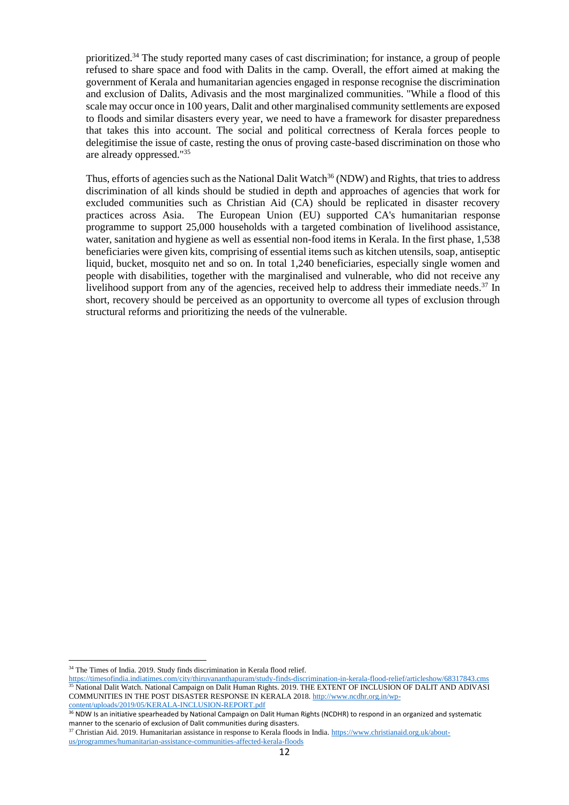prioritized.<sup>34</sup> The study reported many cases of cast discrimination; for instance, a group of people refused to share space and food with Dalits in the camp. Overall, the effort aimed at making the government of Kerala and humanitarian agencies engaged in response recognise the discrimination and exclusion of Dalits, Adivasis and the most marginalized communities. "While a flood of this scale may occur once in 100 years, Dalit and other marginalised community settlements are exposed to floods and similar disasters every year, we need to have a framework for disaster preparedness that takes this into account. The social and political correctness of Kerala forces people to delegitimise the issue of caste, resting the onus of proving caste-based discrimination on those who are already oppressed."<sup>35</sup>

Thus, efforts of agencies such as the National Dalit Watch<sup>36</sup> (NDW) and Rights, that tries to address discrimination of all kinds should be studied in depth and approaches of agencies that work for excluded communities such as Christian Aid (CA) should be replicated in disaster recovery practices across Asia. The European Union (EU) supported CA's humanitarian response programme to support 25,000 households with a targeted combination of livelihood assistance, water, sanitation and hygiene as well as essential non-food items in Kerala. In the first phase, 1,538 beneficiaries were given kits, comprising of essential items such as kitchen utensils, soap, antiseptic liquid, bucket, mosquito net and so on. In total 1,240 beneficiaries, especially single women and people with disabilities, together with the marginalised and vulnerable, who did not receive any livelihood support from any of the agencies, received help to address their immediate needs.<sup>37</sup> In short, recovery should be perceived as an opportunity to overcome all types of exclusion through structural reforms and prioritizing the needs of the vulnerable.

<sup>34</sup> The Times of India. 2019. Study finds discrimination in Kerala flood relief.

<https://timesofindia.indiatimes.com/city/thiruvananthapuram/study-finds-discrimination-in-kerala-flood-relief/articleshow/68317843.cms> <sup>35</sup> National Dalit Watch. National Campaign on Dalit Human Rights. 2019. THE EXTENT OF INCLUSION OF DALIT AND ADIVASI COMMUNITIES IN THE POST DISASTER RESPONSE IN KERALA 2018[. http://www.ncdhr.org.in/wp-](http://www.ncdhr.org.in/wp-content/uploads/2019/05/KERALA-INCLUSION-REPORT.pdf)

[content/uploads/2019/05/KERALA-INCLUSION-REPORT.pdf](http://www.ncdhr.org.in/wp-content/uploads/2019/05/KERALA-INCLUSION-REPORT.pdf)

<sup>36</sup> NDW Is an initiative spearheaded by National Campaign on Dalit Human Rights (NCDHR) to respond in an organized and systematic manner to the scenario of exclusion of Dalit communities during disasters.

 $37$  Christian Aid. 2019. Humanitarian assistance in response to Kerala floods in India[. https://www.christianaid.org.uk/about](https://www.christianaid.org.uk/about-us/programmes/humanitarian-assistance-communities-affected-kerala-floods)[us/programmes/humanitarian-assistance-communities-affected-kerala-floods](https://www.christianaid.org.uk/about-us/programmes/humanitarian-assistance-communities-affected-kerala-floods)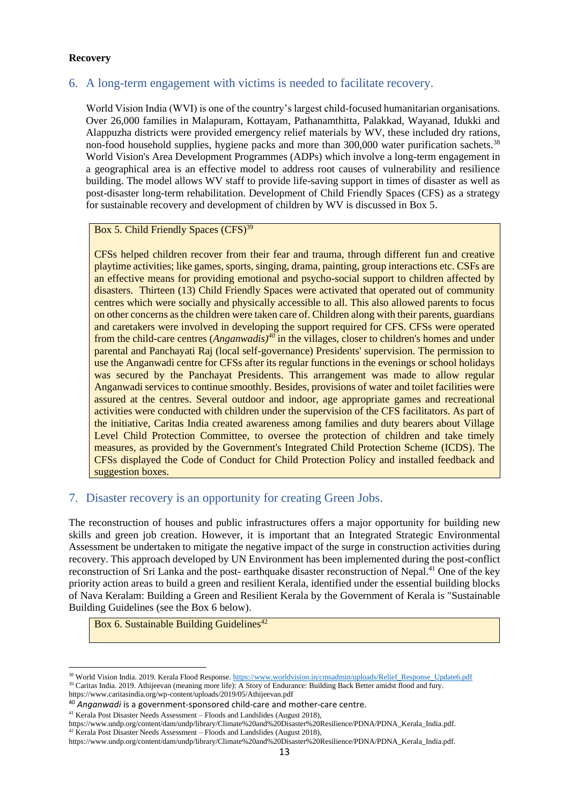### **Recovery**

## <span id="page-12-0"></span>6. A long-term engagement with victims is needed to facilitate recovery.

World Vision India (WVI) is one of the country's largest child-focused humanitarian organisations. Over 26,000 families in Malapuram, Kottayam, Pathanamthitta, Palakkad, Wayanad, Idukki and Alappuzha districts were provided emergency relief materials by WV, these included dry rations, non-food household supplies, hygiene packs and more than 300,000 water purification sachets.<sup>38</sup> World Vision's Area Development Programmes (ADPs) which involve a long-term engagement in a geographical area is an effective model to address root causes of vulnerability and resilience building. The model allows WV staff to provide life-saving support in times of disaster as well as post-disaster long-term rehabilitation. Development of Child Friendly Spaces (CFS) as a strategy for sustainable recovery and development of children by WV is discussed in Box 5.

### Box 5. Child Friendly Spaces (CFS)<sup>39</sup>

CFSs helped children recover from their fear and trauma, through different fun and creative playtime activities; like games, sports, singing, drama, painting, group interactions etc. CSFs are an effective means for providing emotional and psycho-social support to children affected by disasters. Thirteen (13) Child Friendly Spaces were activated that operated out of community centres which were socially and physically accessible to all. This also allowed parents to focus on other concerns as the children were taken care of. Children along with their parents, guardians and caretakers were involved in developing the support required for CFS. CFSs were operated from the child-care centres (*Anganwadis) <sup>40</sup>* in the villages, closer to children's homes and under parental and Panchayati Raj (local self-governance) Presidents' supervision. The permission to use the Anganwadi centre for CFSs after its regular functions in the evenings or school holidays was secured by the Panchayat Presidents. This arrangement was made to allow regular Anganwadi services to continue smoothly. Besides, provisions of water and toilet facilities were assured at the centres. Several outdoor and indoor, age appropriate games and recreational activities were conducted with children under the supervision of the CFS facilitators. As part of the initiative, Caritas India created awareness among families and duty bearers about Village Level Child Protection Committee, to oversee the protection of children and take timely measures, as provided by the Government's Integrated Child Protection Scheme (ICDS). The CFSs displayed the Code of Conduct for Child Protection Policy and installed feedback and suggestion boxes.

## <span id="page-12-1"></span>7. Disaster recovery is an opportunity for creating Green Jobs.

The reconstruction of houses and public infrastructures offers a major opportunity for building new skills and green job creation. However, it is important that an Integrated Strategic Environmental Assessment be undertaken to mitigate the negative impact of the surge in construction activities during recovery. This approach developed by UN Environment has been implemented during the post-conflict reconstruction of Sri Lanka and the post- earthquake disaster reconstruction of Nepal.<sup>41</sup> One of the key priority action areas to build a green and resilient Kerala, identified under the essential building blocks of Nava Keralam: Building a Green and Resilient Kerala by the Government of Kerala is "Sustainable Building Guidelines (see the Box 6 below).

Box 6. Sustainable Building Guidelines<sup>42</sup>

<sup>41</sup> Kerala Post Disaster Needs Assessment – Floods and Landslides (August 2018),

<sup>&</sup>lt;sup>38</sup> World Vision India. 2019. Kerala Flood Response. [https://www.worldvision.in/cmsadmin/uploads/Relief\\_Response\\_Update6.pdf](https://www.worldvision.in/cmsadmin/uploads/Relief_Response_Update6.pdf) <sup>39</sup> Caritas India. 2019. Athijeevan (meaning more life): A Story of Endurance: Building Back Better amidst flood and fury.

https://www.caritasindia.org/wp-content/uploads/2019/05/Athijeevan.pdf

<sup>40</sup> *Anganwadi* is a government-sponsored child-care and mother-care centre.

https://www.undp.org/content/dam/undp/library/Climate%20and%20Disaster%20Resilience/PDNA/PDNA\_Kerala\_India.pdf.  $42$  Kerala Post Disaster Needs Assessment – Floods and Landslides (August 2018),

https://www.undp.org/content/dam/undp/library/Climate%20and%20Disaster%20Resilience/PDNA/PDNA\_Kerala\_India.pdf.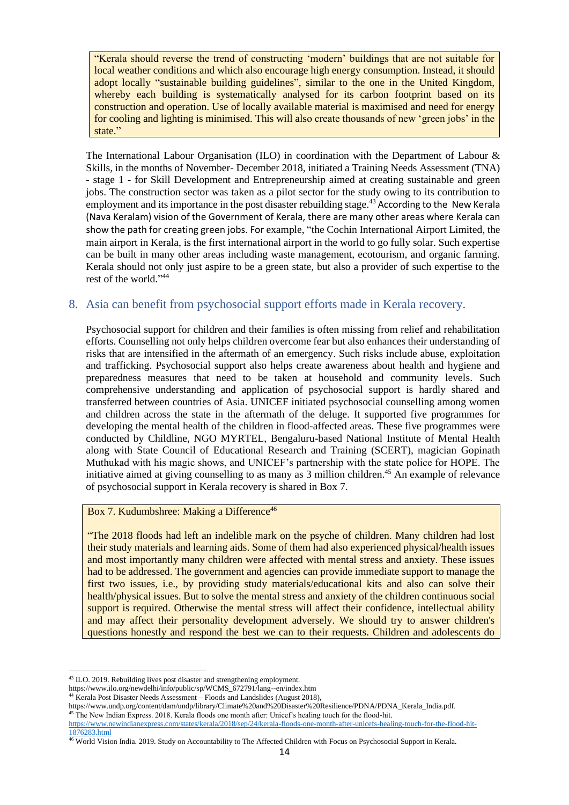"Kerala should reverse the trend of constructing 'modern' buildings that are not suitable for local weather conditions and which also encourage high energy consumption. Instead, it should adopt locally "sustainable building guidelines", similar to the one in the United Kingdom, whereby each building is systematically analysed for its carbon footprint based on its construction and operation. Use of locally available material is maximised and need for energy for cooling and lighting is minimised. This will also create thousands of new 'green jobs' in the state."

The International Labour Organisation (ILO) in coordination with the Department of Labour & Skills, in the months of November- December 2018, initiated a Training Needs Assessment (TNA) - stage 1 - for Skill Development and Entrepreneurship aimed at creating sustainable and green jobs. The construction sector was taken as a pilot sector for the study owing to its contribution to employment and its importance in the post disaster rebuilding stage.<sup>43</sup> According to the New Kerala (Nava Keralam) vision of the Government of Kerala, there are many other areas where Kerala can show the path for creating green jobs. For example, "the Cochin International Airport Limited, the main airport in Kerala, is the first international airport in the world to go fully solar. Such expertise can be built in many other areas including waste management, ecotourism, and organic farming. Kerala should not only just aspire to be a green state, but also a provider of such expertise to the rest of the world." 44

## <span id="page-13-0"></span>8. Asia can benefit from psychosocial support efforts made in Kerala recovery.

Psychosocial support for children and their families is often missing from relief and rehabilitation efforts. Counselling not only helps children overcome fear but also enhances their understanding of risks that are intensified in the aftermath of an emergency. Such risks include abuse, exploitation and trafficking. Psychosocial support also helps create awareness about health and hygiene and preparedness measures that need to be taken at household and community levels. Such comprehensive understanding and application of psychosocial support is hardly shared and transferred between countries of Asia. UNICEF initiated psychosocial counselling among women and children across the state in the aftermath of the deluge. It supported five programmes for developing the mental health of the children in flood-affected areas. These five programmes were conducted by Childline, NGO MYRTEL, Bengaluru-based National Institute of Mental Health along with State Council of Educational Research and Training (SCERT), magician Gopinath Muthukad with his magic shows, and UNICEF's partnership with the state police for HOPE. The initiative aimed at giving counselling to as many as 3 million children.<sup>45</sup> An example of relevance of psychosocial support in Kerala recovery is shared in Box 7.

#### Box 7. Kudumbshree: Making a Difference<sup>46</sup>

"The 2018 floods had left an indelible mark on the psyche of children. Many children had lost their study materials and learning aids. Some of them had also experienced physical/health issues and most importantly many children were affected with mental stress and anxiety. These issues had to be addressed. The government and agencies can provide immediate support to manage the first two issues, i.e., by providing study materials/educational kits and also can solve their health/physical issues. But to solve the mental stress and anxiety of the children continuous social support is required. Otherwise the mental stress will affect their confidence, intellectual ability and may affect their personality development adversely. We should try to answer children's questions honestly and respond the best we can to their requests. Children and adolescents do

<sup>43</sup> ILO. 2019. Rebuilding lives post disaster and strengthening employment.

https://www.ilo.org/newdelhi/info/public/sp/WCMS\_672791/lang--en/index.htm

<sup>44</sup> Kerala Post Disaster Needs Assessment – Floods and Landslides (August 2018),

https://www.undp.org/content/dam/undp/library/Climate%20and%20Disaster%20Resilience/PDNA/PDNA\_Kerala\_India.pdf. <sup>45</sup> The New Indian Express. 2018. Kerala floods one month after: Unicef's healing touch for the flood-hit.

[https://www.newindianexpress.com/states/kerala/2018/sep/24/kerala-floods-one-month-after-unicefs-healing-touch-for-the-flood-hit-](https://www.newindianexpress.com/states/kerala/2018/sep/24/kerala-floods-one-month-after-unicefs-healing-touch-for-the-flood-hit-1876283.html)[1876283.html](https://www.newindianexpress.com/states/kerala/2018/sep/24/kerala-floods-one-month-after-unicefs-healing-touch-for-the-flood-hit-1876283.html)

<sup>46</sup> World Vision India. 2019. Study on Accountability to The Affected Children with Focus on Psychosocial Support in Kerala.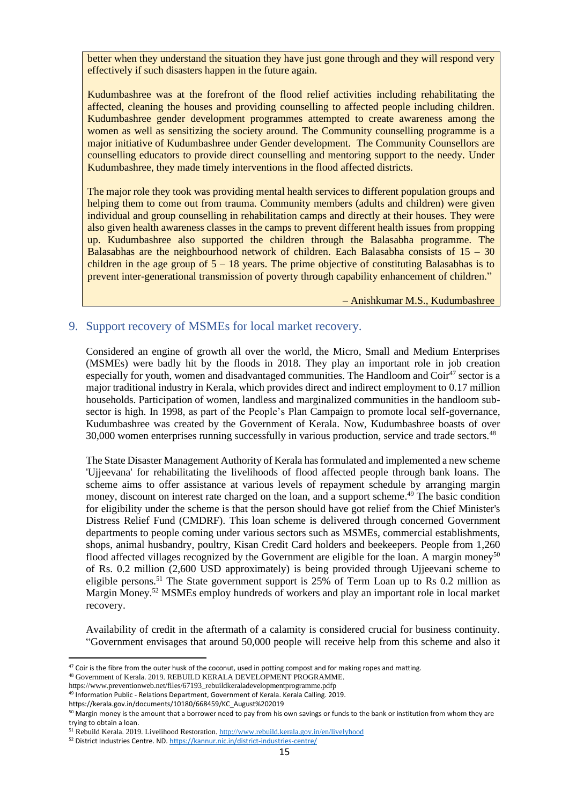better when they understand the situation they have just gone through and they will respond very effectively if such disasters happen in the future again.

Kudumbashree was at the forefront of the flood relief activities including rehabilitating the affected, cleaning the houses and providing counselling to affected people including children. Kudumbashree gender development programmes attempted to create awareness among the women as well as sensitizing the society around. The Community counselling programme is a major initiative of Kudumbashree under Gender development. The Community Counsellors are counselling educators to provide direct counselling and mentoring support to the needy. Under Kudumbashree, they made timely interventions in the flood affected districts.

The major role they took was providing mental health services to different population groups and helping them to come out from trauma. Community members (adults and children) were given individual and group counselling in rehabilitation camps and directly at their houses. They were also given health awareness classes in the camps to prevent different health issues from propping up. Kudumbashree also supported the children through the Balasabha programme. The Balasabhas are the neighbourhood network of children. Each Balasabha consists of  $15 - 30$ children in the age group of  $5 - 18$  years. The prime objective of constituting Balasabhas is to prevent inter-generational transmission of poverty through capability enhancement of children."

– Anishkumar M.S., Kudumbashree

### <span id="page-14-0"></span>9. Support recovery of MSMEs for local market recovery.

Considered an engine of growth all over the world, the Micro, Small and Medium Enterprises (MSMEs) were badly hit by the floods in 2018. They play an important role in job creation especially for youth, women and disadvantaged communities. The Handloom and Coir<sup>47</sup> sector is a major traditional industry in Kerala, which provides direct and indirect employment to 0.17 million households. Participation of women, landless and marginalized communities in the handloom subsector is high. In 1998, as part of the People's Plan Campaign to promote local self-governance, Kudumbashree was created by the Government of Kerala. Now, Kudumbashree boasts of over 30,000 women enterprises running successfully in various production, service and trade sectors.<sup>48</sup>

The State Disaster Management Authority of Kerala has formulated and implemented a new scheme 'Ujjeevana' for rehabilitating the livelihoods of flood affected people through bank loans. The scheme aims to offer assistance at various levels of repayment schedule by arranging margin money, discount on interest rate charged on the loan, and a support scheme.<sup>49</sup> The basic condition for eligibility under the scheme is that the person should have got relief from the Chief Minister's Distress Relief Fund (CMDRF). This loan scheme is delivered through concerned Government departments to people coming under various sectors such as MSMEs, commercial establishments, shops, animal husbandry, poultry, Kisan Credit Card holders and beekeepers. People from 1,260 flood affected villages recognized by the Government are eligible for the loan. A margin money<sup>50</sup> of Rs. 0.2 million (2,600 USD approximately) is being provided through Ujjeevani scheme to eligible persons.<sup>51</sup> The State government support is 25% of Term Loan up to Rs 0.2 million as Margin Money.<sup>52</sup> MSMEs employ hundreds of workers and play an important role in local market recovery.

Availability of credit in the aftermath of a calamity is considered crucial for business continuity. "Government envisages that around 50,000 people will receive help from this scheme and also it

<sup>&</sup>lt;sup>47</sup> Coir is the fibre from the outer husk of the coconut, used in potting compost and for making ropes and matting.

<sup>48</sup> Government of Kerala. 2019. REBUILD KERALA DEVELOPMENT PROGRAMME.

https://www.preventionweb.net/files/67193\_rebuildkeraladevelopmentprogramme.pdfp

<sup>49</sup> Information Public - Relations Department, Government of Kerala. Kerala Calling. 2019.

https://kerala.gov.in/documents/10180/668459/KC\_August%202019

<sup>&</sup>lt;sup>50</sup> Margin money is the amount that a borrower need to pay from his own savings or funds to the bank or institution from whom they are trying to obtain a loan.

<sup>&</sup>lt;sup>51</sup> Rebuild Kerala. 2019. Livelihood Restoration[. http://www.rebuild.kerala.gov.in/en/livelyhood](http://www.rebuild.kerala.gov.in/en/livelyhood)

<sup>52</sup> District Industries Centre. ND[. https://kannur.nic.in/district-industries-centre/](https://kannur.nic.in/district-industries-centre/)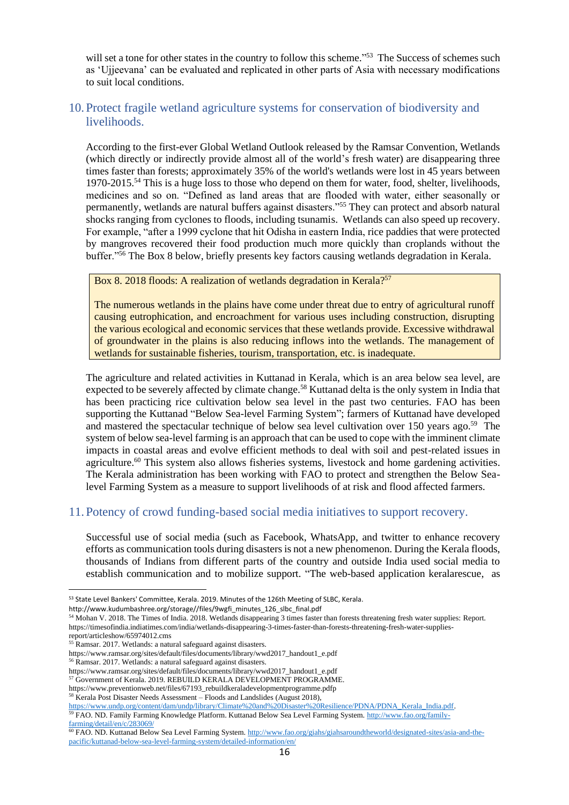will set a tone for other states in the country to follow this scheme."<sup>53</sup> The Success of schemes such as 'Ujjeevana' can be evaluated and replicated in other parts of Asia with necessary modifications to suit local conditions.

## <span id="page-15-0"></span>10.Protect fragile wetland agriculture systems for conservation of biodiversity and livelihoods.

According to the first-ever Global Wetland Outlook released by the Ramsar Convention, Wetlands (which directly or indirectly provide almost all of the world's fresh water) are disappearing three times faster than forests; approximately 35% of the world's wetlands were lost in 45 years between 1970-2015.<sup>54</sup> This is a huge loss to those who depend on them for water, food, shelter, livelihoods, medicines and so on. "Defined as land areas that are flooded with water, either seasonally or permanently, wetlands are natural buffers against disasters."<sup>55</sup> They can protect and absorb natural shocks ranging from cyclones to floods, including tsunamis. Wetlands can also speed up recovery. For example, "after a 1999 cyclone that hit Odisha in eastern India, rice paddies that were protected by mangroves recovered their food production much more quickly than croplands without the buffer."<sup>56</sup> The Box 8 below, briefly presents key factors causing wetlands degradation in Kerala.

#### Box 8. 2018 floods: A realization of wetlands degradation in Kerala?<sup>57</sup>

The numerous wetlands in the plains have come under threat due to entry of agricultural runoff causing eutrophication, and encroachment for various uses including construction, disrupting the various ecological and economic services that these wetlands provide. Excessive withdrawal of groundwater in the plains is also reducing inflows into the wetlands. The management of wetlands for sustainable fisheries, tourism, transportation, etc. is inadequate.

The agriculture and related activities in Kuttanad in Kerala, which is an area below sea level, are expected to be severely affected by climate change.<sup>58</sup> Kuttanad delta is the only system in India that has been practicing rice cultivation below sea level in the past two centuries. FAO has been supporting the Kuttanad "Below Sea-level Farming System"; farmers of Kuttanad have developed and mastered the spectacular technique of below sea level cultivation over 150 years ago.<sup>59</sup> The system of below sea-level farming is an approach that can be used to cope with the imminent climate impacts in coastal areas and evolve efficient methods to deal with soil and pest-related issues in agriculture.<sup>60</sup> This system also allows fisheries systems, livestock and home gardening activities. The Kerala administration has been working with FAO to protect and strengthen the Below Sealevel Farming System as a measure to support livelihoods of at risk and flood affected farmers.

## <span id="page-15-1"></span>11.Potency of crowd funding-based social media initiatives to support recovery.

Successful use of social media (such as Facebook, WhatsApp, and twitter to enhance recovery efforts as communication tools during disasters is not a new phenomenon. During the Kerala floods, thousands of Indians from different parts of the country and outside India used social media to establish communication and to mobilize support. "The web-based application keralarescue, as

<sup>53</sup> State Level Bankers' Committee, Kerala. 2019. Minutes of the 126th Meeting of SLBC, Kerala.

http://www.kudumbashree.org/storage//files/9wgfi\_minutes\_126\_slbc\_final.pdf

<sup>54</sup> Mohan V. 2018. The Times of India. 2018. Wetlands disappearing 3 times faster than forests threatening fresh water supplies: Report. https://timesofindia.indiatimes.com/india/wetlands-disappearing-3-times-faster-than-forests-threatening-fresh-water-supplies-

report/articleshow/65974012.cms

<sup>55</sup> Ramsar. 2017. Wetlands: a natural safeguard against disasters.

https://www.ramsar.org/sites/default/files/documents/library/wwd2017\_handout1\_e.pdf

<sup>56</sup> Ramsar. 2017. Wetlands: a natural safeguard against disasters.

https://www.ramsar.org/sites/default/files/documents/library/wwd2017\_handout1\_e.pdf <sup>57</sup> Government of Kerala. 2019. REBUILD KERALA DEVELOPMENT PROGRAMME.

https://www.preventionweb.net/files/67193\_rebuildkeraladevelopmentprogramme.pdfp

<sup>&</sup>lt;sup>58</sup> Kerala Post Disaster Needs Assessment – Floods and Landslides (August 2018),

[https://www.undp.org/content/dam/undp/library/Climate%20and%20Disaster%20Resilience/PDNA/PDNA\\_Kerala\\_India.pdf.](https://www.undp.org/content/dam/undp/library/Climate%20and%20Disaster%20Resilience/PDNA/PDNA_Kerala_India.pdf) <sup>9</sup> FAO. ND. Family Farming Knowledge Platform. Kuttanad Below Sea Level Farming System. [http://www.fao.org/family-](http://www.fao.org/family-farming/detail/en/c/283069/)

[farming/detail/en/c/283069/](http://www.fao.org/family-farming/detail/en/c/283069/)

<sup>60</sup> FAO. ND. Kuttanad Below Sea Level Farming System[. http://www.fao.org/giahs/giahsaroundtheworld/designated-sites/asia-and-the](http://www.fao.org/giahs/giahsaroundtheworld/designated-sites/asia-and-the-pacific/kuttanad-below-sea-level-farming-system/detailed-information/en/)[pacific/kuttanad-below-sea-level-farming-system/detailed-information/en/](http://www.fao.org/giahs/giahsaroundtheworld/designated-sites/asia-and-the-pacific/kuttanad-below-sea-level-farming-system/detailed-information/en/)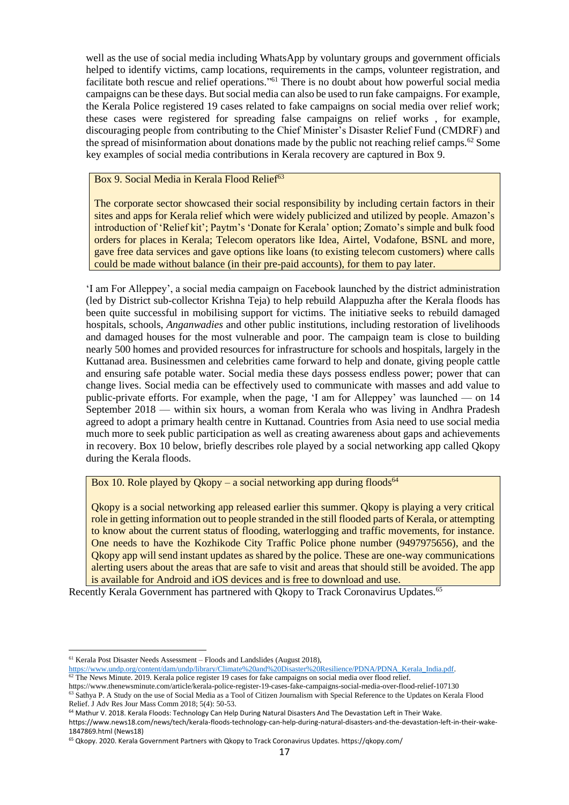well as the use of social media including WhatsApp by voluntary groups and government officials helped to identify victims, camp locations, requirements in the camps, volunteer registration, and facilitate both rescue and relief operations."<sup>61</sup> There is no doubt about how powerful social media campaigns can be these days. But social media can also be used to run fake campaigns. For example, the Kerala Police registered 19 cases related to fake campaigns on social media over relief work; these cases were registered for spreading false campaigns on relief works , for example, discouraging people from contributing to the Chief Minister's Disaster Relief Fund (CMDRF) and the spread of misinformation about donations made by the public not reaching relief camps.<sup>62</sup> Some key examples of social media contributions in Kerala recovery are captured in Box 9.

#### Box 9. Social Media in Kerala Flood Relief<sup>63</sup>

The corporate sector showcased their social responsibility by including certain factors in their sites and apps for Kerala relief which were widely publicized and utilized by people. Amazon's introduction of 'Relief kit'; Paytm's 'Donate for Kerala' option; Zomato's simple and bulk food orders for places in Kerala; Telecom operators like Idea, Airtel, Vodafone, BSNL and more, gave free data services and gave options like loans (to existing telecom customers) where calls could be made without balance (in their pre-paid accounts), for them to pay later.

'I am For Alleppey', a social media campaign on Facebook launched by the district administration (led by District sub-collector Krishna Teja) to help rebuild Alappuzha after the Kerala floods has been quite successful in mobilising support for victims. The initiative seeks to rebuild damaged hospitals, schools, *Anganwadies* and other public institutions, including restoration of livelihoods and damaged houses for the most vulnerable and poor. The campaign team is close to building nearly 500 homes and provided resources for infrastructure for schools and hospitals, largely in the Kuttanad area. Businessmen and celebrities came forward to help and donate, giving people cattle and ensuring safe potable water. Social media these days possess endless power; power that can change lives. Social media can be effectively used to communicate with masses and add value to public-private efforts. For example, when the page, 'I am for Alleppey' was launched — on 14 September 2018 — within six hours, a woman from Kerala who was living in Andhra Pradesh agreed to adopt a primary health centre in Kuttanad. Countries from Asia need to use social media much more to seek public participation as well as creating awareness about gaps and achievements in recovery. Box 10 below, briefly describes role played by a social networking app called Qkopy during the Kerala floods.

Box 10. Role played by Okopy – a social networking app during floods<sup>64</sup>

Qkopy is a social networking app released earlier this summer. Qkopy is playing a very critical role in getting information out to people stranded in the still flooded parts of Kerala, or attempting to know about the current status of flooding, waterlogging and traffic movements, for instance. One needs to have the Kozhikode City Traffic Police phone number (9497975656), and the Qkopy app will send instant updates as shared by the police. These are one-way communications alerting users about the areas that are safe to visit and areas that should still be avoided. The app is available for Android and iOS devices and is free to download and use.

Recently Kerala Government has partnered with Okopy to Track Coronavirus Updates.<sup>65</sup>

<sup>61</sup> Kerala Post Disaster Needs Assessment – Floods and Landslides (August 2018),

[https://www.undp.org/content/dam/undp/library/Climate%20and%20Disaster%20Resilience/PDNA/PDNA\\_Kerala\\_India.pdf.](https://www.undp.org/content/dam/undp/library/Climate%20and%20Disaster%20Resilience/PDNA/PDNA_Kerala_India.pdf)  $62$  The News Minute. 2019. Kerala police register 19 cases for fake campaigns on social media over flood relief.

https://www.thenewsminute.com/article/kerala-police-register-19-cases-fake-campaigns-social-media-over-flood-relief-107130 <sup>63</sup> Sathya P. A Study on the use of Social Media as a Tool of Citizen Journalism with Special Reference to the Updates on Kerala Flood Relief. J Adv Res Jour Mass Comm 2018; 5(4): 50-53.

<sup>64</sup> Mathur V. 2018. Kerala Floods: Technology Can Help During Natural Disasters And The Devastation Left in Their Wake.

https://www.news18.com/news/tech/kerala-floods-technology-can-help-during-natural-disasters-and-the-devastation-left-in-their-wake-1847869.html (News18)

<sup>65</sup> Qkopy. 2020. Kerala Government Partners with Qkopy to Track Coronavirus Updates. https://qkopy.com/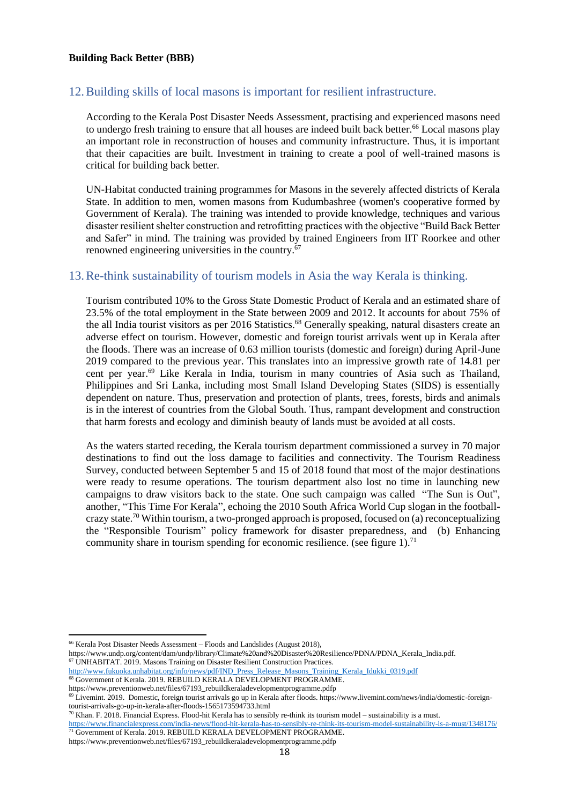## <span id="page-17-0"></span>12.Building skills of local masons is important for resilient infrastructure.

According to the Kerala Post Disaster Needs Assessment, practising and experienced masons need to undergo fresh training to ensure that all houses are indeed built back better.<sup>66</sup> Local masons play an important role in reconstruction of houses and community infrastructure. Thus, it is important that their capacities are built. Investment in training to create a pool of well-trained masons is critical for building back better.

UN-Habitat conducted training programmes for Masons in the severely affected districts of Kerala State. In addition to men, women masons from Kudumbashree (women's cooperative formed by Government of Kerala). The training was intended to provide knowledge, techniques and various disaster resilient shelter construction and retrofitting practices with the objective "Build Back Better and Safer" in mind. The training was provided by trained Engineers from IIT Roorkee and other renowned engineering universities in the country.<sup>67</sup>

## <span id="page-17-1"></span>13.Re-think sustainability of tourism models in Asia the way Kerala is thinking.

Tourism contributed 10% to the Gross State Domestic Product of Kerala and an estimated share of 23.5% of the total employment in the State between 2009 and 2012. It accounts for about 75% of the all India tourist visitors as per 2016 Statistics.<sup>68</sup> Generally speaking, natural disasters create an adverse effect on tourism. However, domestic and foreign tourist arrivals went up in Kerala after the floods. There was an increase of 0.63 million tourists (domestic and foreign) during April-June 2019 compared to the previous year. This translates into an impressive growth rate of 14.81 per cent per year. <sup>69</sup> Like Kerala in India, tourism in many countries of Asia such as Thailand, Philippines and Sri Lanka, including most Small Island Developing States (SIDS) is essentially dependent on nature. Thus, preservation and protection of plants, trees, forests, birds and animals is in the interest of countries from the Global South. Thus, rampant development and construction that harm forests and ecology and diminish beauty of lands must be avoided at all costs.

As the waters started receding, the Kerala tourism department commissioned a survey in 70 major destinations to find out the loss damage to facilities and connectivity. The Tourism Readiness Survey, conducted between September 5 and 15 of 2018 found that most of the major destinations were ready to resume operations. The tourism department also lost no time in launching new campaigns to draw visitors back to the state. One such campaign was called "The Sun is Out", another, "This Time For Kerala", echoing the 2010 South Africa World Cup slogan in the footballcrazy state.<sup>70</sup> Within tourism, a two-pronged approach is proposed, focused on (a) reconceptualizing the "Responsible Tourism" policy framework for disaster preparedness, and (b) Enhancing community share in tourism spending for economic resilience. (see figure 1).<sup>71</sup>

<sup>68</sup> Government of Kerala. 2019. REBUILD KERALA DEVELOPMENT PROGRAMME.

https://www.preventionweb.net/files/67193\_rebuildkeraladevelopmentprogramme.pdfp

<sup>66</sup> Kerala Post Disaster Needs Assessment – Floods and Landslides (August 2018),

https://www.undp.org/content/dam/undp/library/Climate%20and%20Disaster%20Resilience/PDNA/PDNA\_Kerala\_India.pdf. <sup>67</sup> UNHABITAT. 2019. Masons Training on Disaster Resilient Construction Practices.

[http://www.fukuoka.unhabitat.org/info/news/pdf/IND\\_Press\\_Release\\_Masons\\_Training\\_Kerala\\_Idukki\\_0319.pdf](http://www.fukuoka.unhabitat.org/info/news/pdf/IND_Press_Release_Masons_Training_Kerala_Idukki_0319.pdf)

https://www.preventionweb.net/files/67193\_rebuildkeraladevelopmentprogramme.pdfp

<sup>69</sup> Livemint. 2019. Domestic, foreign tourist arrivals go up in Kerala after floods. https://www.livemint.com/news/india/domestic-foreigntourist-arrivals-go-up-in-kerala-after-floods-1565173594733.html

 $70$  Khan. F. 2018. Financial Express. Flood-hit Kerala has to sensibly re-think its tourism model – sustainability is a must.

<https://www.financialexpress.com/india-news/flood-hit-kerala-has-to-sensibly-re-think-its-tourism-model-sustainability-is-a-must/1348176/> <sup>71</sup> Government of Kerala. 2019. REBUILD KERALA DEVELOPMENT PROGRAMME.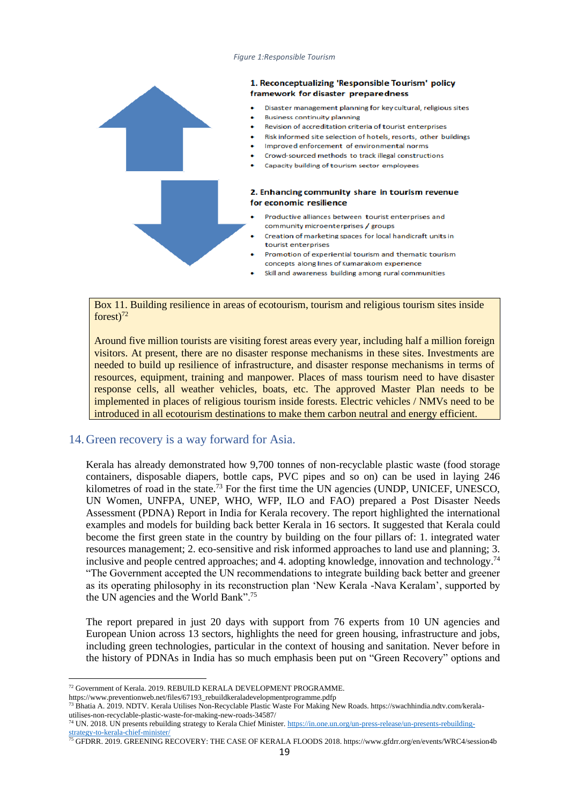#### *Figure 1:Responsible Tourism*



Box 11. Building resilience in areas of ecotourism, tourism and religious tourism sites inside  $forest$ )<sup>72</sup>

Around five million tourists are visiting forest areas every year, including half a million foreign visitors. At present, there are no disaster response mechanisms in these sites. Investments are needed to build up resilience of infrastructure, and disaster response mechanisms in terms of resources, equipment, training and manpower. Places of mass tourism need to have disaster response cells, all weather vehicles, boats, etc. The approved Master Plan needs to be implemented in places of religious tourism inside forests. Electric vehicles / NMVs need to be introduced in all ecotourism destinations to make them carbon neutral and energy efficient.

#### <span id="page-18-0"></span>14.Green recovery is a way forward for Asia.

Kerala has already demonstrated how 9,700 tonnes of non-recyclable plastic waste (food storage containers, disposable diapers, bottle caps, PVC pipes and so on) can be used in laying 246 kilometres of road in the state.<sup>73</sup> For the first time the UN agencies (UNDP, UNICEF, UNESCO, UN Women, UNFPA, UNEP, WHO, WFP, ILO and FAO) prepared a Post Disaster Needs Assessment (PDNA) Report in India for Kerala recovery. The report highlighted the international examples and models for building back better Kerala in 16 sectors. It suggested that Kerala could become the first green state in the country by building on the four pillars of: 1. integrated water resources management; 2. eco-sensitive and risk informed approaches to land use and planning; 3. inclusive and people centred approaches; and 4. adopting knowledge, innovation and technology.<sup>74</sup> "The Government accepted the UN recommendations to integrate building back better and greener as its operating philosophy in its reconstruction plan 'New Kerala -Nava Keralam', supported by the UN agencies and the World Bank".<sup>75</sup>

The report prepared in just 20 days with support from 76 experts from 10 UN agencies and European Union across 13 sectors, highlights the need for green housing, infrastructure and jobs, including green technologies, particular in the context of housing and sanitation. Never before in the history of PDNAs in India has so much emphasis been put on "Green Recovery" options and

<sup>72</sup> Government of Kerala. 2019. REBUILD KERALA DEVELOPMENT PROGRAMME.

https://www.preventionweb.net/files/67193\_rebuildkeraladevelopmentprogramme.pdfp

<sup>73</sup> Bhatia A. 2019. NDTV. Kerala Utilises Non-Recyclable Plastic Waste For Making New Roads. https://swachhindia.ndtv.com/keralautilises-non-recyclable-plastic-waste-for-making-new-roads-34587/

<sup>&</sup>lt;sup>74</sup> UN. 2018. UN presents rebuilding strategy to Kerala Chief Minister. [https://in.one.un.org/un-press-release/un-presents-rebuilding](https://in.one.un.org/un-press-release/un-presents-rebuilding-strategy-to-kerala-chief-minister/)[strategy-to-kerala-chief-minister/](https://in.one.un.org/un-press-release/un-presents-rebuilding-strategy-to-kerala-chief-minister/)

<sup>&</sup>lt;sup>75</sup> GFDRR. 2019. GREENING RECOVERY: THE CASE OF KERALA FLOODS 2018. https://www.gfdrr.org/en/events/WRC4/session4b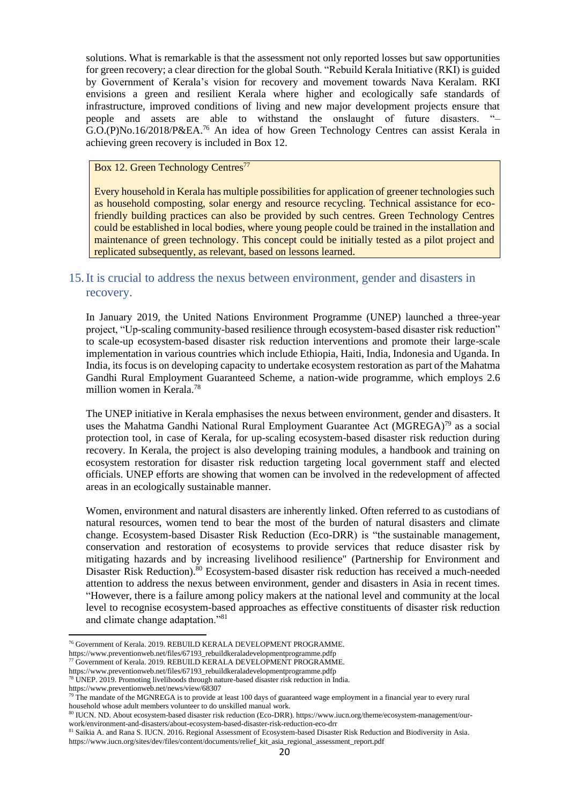solutions. What is remarkable is that the assessment not only reported losses but saw opportunities for green recovery; a clear direction for the global South. "Rebuild Kerala Initiative (RKI) is guided by Government of Kerala's vision for recovery and movement towards Nava Keralam. RKI envisions a green and resilient Kerala where higher and ecologically safe standards of infrastructure, improved conditions of living and new major development projects ensure that people and assets are able to withstand the onslaught of future disasters. "– G.O.(P)No.16/2018/P&EA.<sup>76</sup> An idea of how Green Technology Centres can assist Kerala in achieving green recovery is included in Box 12.

#### Box 12. Green Technology Centres<sup>77</sup>

Every household in Kerala has multiple possibilities for application of greener technologies such as household composting, solar energy and resource recycling. Technical assistance for ecofriendly building practices can also be provided by such centres. Green Technology Centres could be established in local bodies, where young people could be trained in the installation and maintenance of green technology. This concept could be initially tested as a pilot project and replicated subsequently, as relevant, based on lessons learned.

## <span id="page-19-0"></span>15.It is crucial to address the nexus between environment, gender and disasters in recovery.

In January 2019, the United Nations Environment Programme (UNEP) launched a three-year project, "Up-scaling community-based resilience through ecosystem-based disaster risk reduction" to scale-up ecosystem-based disaster risk reduction interventions and promote their large-scale implementation in various countries which include Ethiopia, Haiti, India, Indonesia and Uganda. In India, its focus is on developing capacity to undertake ecosystem restoration as part of the Mahatma Gandhi Rural Employment Guaranteed Scheme, a nation-wide programme, which employs 2.6 million women in Kerala.<sup>78</sup>

The UNEP initiative in Kerala emphasises the nexus between environment, gender and disasters. It uses the Mahatma Gandhi National Rural Employment Guarantee Act (MGREGA)<sup>79</sup> as a social protection tool, in case of Kerala, for up-scaling ecosystem-based disaster risk reduction during recovery. In Kerala, the project is also developing training modules, a handbook and training on ecosystem restoration for disaster risk reduction targeting local government staff and elected officials. UNEP efforts are showing that women can be involved in the redevelopment of affected areas in an ecologically sustainable manner.

Women, environment and natural disasters are inherently linked. Often referred to as custodians of natural resources, women tend to bear the most of the burden of natural disasters and climate change. Ecosystem-based Disaster Risk Reduction (Eco-DRR) is "the sustainable management, conservation and restoration of ecosystems to provide services that reduce disaster risk by mitigating hazards and by increasing livelihood resilience" (Partnership for Environment and Disaster Risk Reduction).<sup>80</sup> Ecosystem-based disaster risk reduction has received a much-needed attention to address the nexus between environment, gender and disasters in Asia in recent times. "However, there is a failure among policy makers at the national level and community at the local level to recognise ecosystem-based approaches as effective constituents of disaster risk reduction and climate change adaptation."<sup>81</sup>

<sup>76</sup> Government of Kerala. 2019. REBUILD KERALA DEVELOPMENT PROGRAMME.

https://www.preventionweb.net/files/67193\_rebuildkeraladevelopmentprogramme.pdfp <sup>77</sup> Government of Kerala. 2019. REBUILD KERALA DEVELOPMENT PROGRAMME.

https://www.preventionweb.net/files/67193\_rebuildkeraladevelopmentprogramme.pdfp

<sup>78</sup> UNEP. 2019. Promoting livelihoods through nature-based disaster risk reduction in India.

https://www.preventionweb.net/news/view/68307

 $79$  The mandate of the MGNREGA is to provide at least 100 days of guaranteed wage employment in a financial year to every rural household whose adult members volunteer to do unskilled manual work.

<sup>80</sup> IUCN. ND. About ecosystem-based disaster risk reduction (Eco-DRR). https://www.iucn.org/theme/ecosystem-management/ourwork/environment-and-disasters/about-ecosystem-based-disaster-risk-reduction-eco-drr

<sup>&</sup>lt;sup>81</sup> Saikia A. and Rana S. IUCN. 2016. Regional Assessment of Ecosystem-based Disaster Risk Reduction and Biodiversity in Asia. https://www.iucn.org/sites/dev/files/content/documents/relief\_kit\_asia\_regional\_assessment\_report.pdf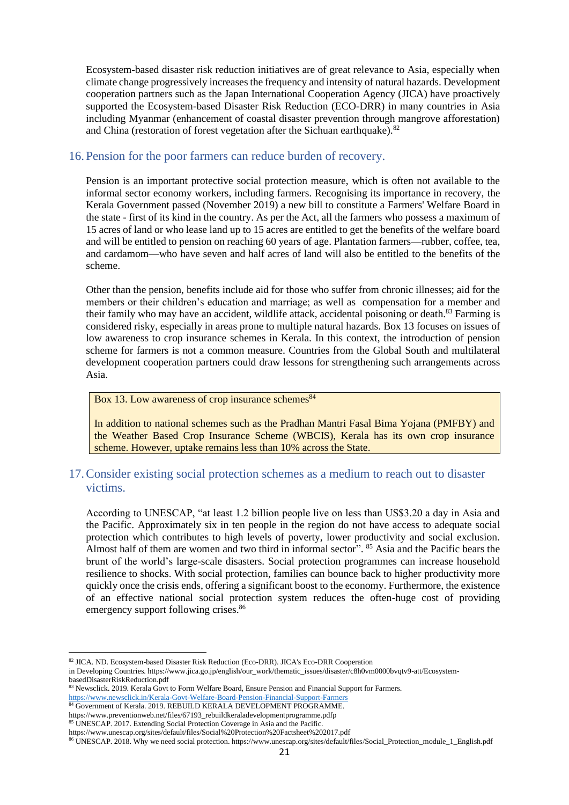Ecosystem-based disaster risk reduction initiatives are of great relevance to Asia, especially when climate change progressively increases the frequency and intensity of natural hazards. Development cooperation partners such as the Japan International Cooperation Agency (JICA) have proactively supported the Ecosystem-based Disaster Risk Reduction (ECO-DRR) in many countries in Asia including Myanmar (enhancement of coastal disaster prevention through mangrove afforestation) and China (restoration of forest vegetation after the Sichuan earthquake).<sup>82</sup>

## <span id="page-20-0"></span>16.Pension for the poor farmers can reduce burden of recovery.

Pension is an important protective social protection measure, which is often not available to the informal sector economy workers, including farmers. Recognising its importance in recovery, the Kerala Government passed (November 2019) a new bill to constitute a Farmers' Welfare Board in the state - first of its kind in the country. As per the Act, all the farmers who possess a maximum of 15 acres of land or who lease land up to 15 acres are entitled to get the benefits of the welfare board and will be entitled to pension on reaching 60 years of age. Plantation farmers—rubber, coffee, tea, and cardamom—who have seven and half acres of land will also be entitled to the benefits of the scheme.

Other than the pension, benefits include aid for those who suffer from chronic illnesses; aid for the members or their children's education and marriage; as well as compensation for a member and their family who may have an accident, wildlife attack, accidental poisoning or death.<sup>83</sup> Farming is considered risky, especially in areas prone to multiple natural hazards. Box 13 focuses on issues of low awareness to crop insurance schemes in Kerala. In this context, the introduction of pension scheme for farmers is not a common measure. Countries from the Global South and multilateral development cooperation partners could draw lessons for strengthening such arrangements across Asia.

#### Box 13. Low awareness of crop insurance schemes $84$

In addition to national schemes such as the Pradhan Mantri Fasal Bima Yojana (PMFBY) and the Weather Based Crop Insurance Scheme (WBCIS), Kerala has its own crop insurance scheme. However, uptake remains less than 10% across the State.

## <span id="page-20-1"></span>17.Consider existing social protection schemes as a medium to reach out to disaster victims.

According to UNESCAP, "at least 1.2 billion people live on less than US\$3.20 a day in Asia and the Pacific. Approximately six in ten people in the region do not have access to adequate social protection which contributes to high levels of poverty, lower productivity and social exclusion. Almost half of them are women and two third in informal sector". <sup>85</sup> Asia and the Pacific bears the brunt of the world's large-scale disasters. Social protection programmes can increase household resilience to shocks. With social protection, families can bounce back to higher productivity more quickly once the crisis ends, offering a significant boost to the economy. Furthermore, the existence of an effective national social protection system reduces the often-huge cost of providing emergency support following crises.<sup>86</sup>

<sup>82</sup> JICA. ND. Ecosystem-based Disaster Risk Reduction (Eco-DRR). JICA's Eco-DRR Cooperation

in Developing Countries. https://www.jica.go.jp/english/our\_work/thematic\_issues/disaster/c8h0vm0000bvqtv9-att/EcosystembasedDisasterRiskReduction.pdf

<sup>83</sup> Newsclick. 2019. Kerala Govt to Form Welfare Board, Ensure Pension and Financial Support for Farmers. <https://www.newsclick.in/Kerala-Govt-Welfare-Board-Pension-Financial-Support-Farmers>

<sup>84</sup> Government of Kerala. 2019. REBUILD KERALA DEVELOPMENT PROGRAMME.

https://www.preventionweb.net/files/67193\_rebuildkeraladevelopmentprogramme.pdfp <sup>85</sup> UNESCAP. 2017. Extending Social Protection Coverage in Asia and the Pacific.

https://www.unescap.org/sites/default/files/Social%20Protection%20Factsheet%202017.pdf

<sup>86</sup> UNESCAP. 2018. Why we need social protection. https://www.unescap.org/sites/default/files/Social\_Protection\_module\_1\_English.pdf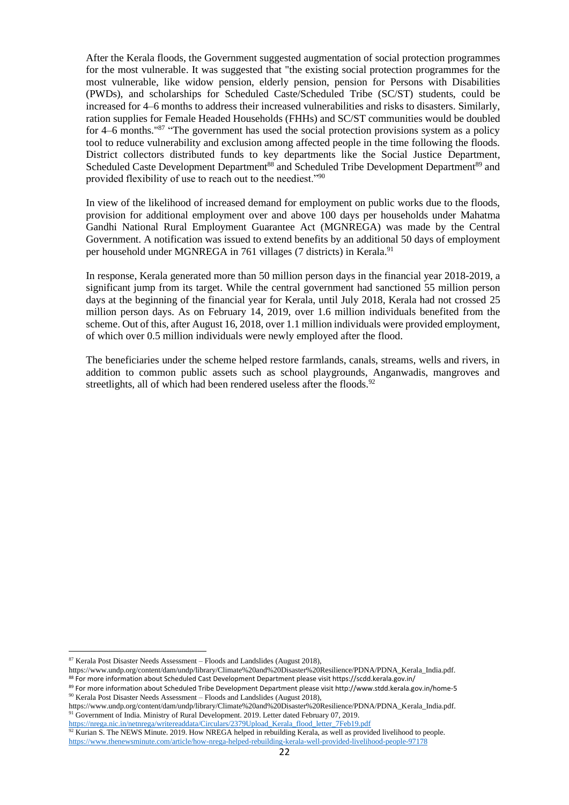After the Kerala floods, the Government suggested augmentation of social protection programmes for the most vulnerable. It was suggested that "the existing social protection programmes for the most vulnerable, like widow pension, elderly pension, pension for Persons with Disabilities (PWDs), and scholarships for Scheduled Caste/Scheduled Tribe (SC/ST) students, could be increased for 4–6 months to address their increased vulnerabilities and risks to disasters. Similarly, ration supplies for Female Headed Households (FHHs) and SC/ST communities would be doubled for 4–6 months."<sup>87</sup> "The government has used the social protection provisions system as a policy tool to reduce vulnerability and exclusion among affected people in the time following the floods. District collectors distributed funds to key departments like the Social Justice Department, Scheduled Caste Development Department<sup>88</sup> and Scheduled Tribe Development Department<sup>89</sup> and provided flexibility of use to reach out to the neediest."<sup>90</sup>

In view of the likelihood of increased demand for employment on public works due to the floods, provision for additional employment over and above 100 days per households under Mahatma Gandhi National Rural Employment Guarantee Act (MGNREGA) was made by the Central Government. A notification was issued to extend benefits by an additional 50 days of employment per household under MGNREGA in 761 villages (7 districts) in Kerala.<sup>91</sup>

In response, Kerala generated more than 50 million person days in the financial year 2018-2019, a significant jump from its target. While the central government had sanctioned 55 million person days at the beginning of the financial year for Kerala, until July 2018, Kerala had not crossed 25 million person days. As on February 14, 2019, over 1.6 million individuals benefited from the scheme. Out of this, after August 16, 2018, over 1.1 million individuals were provided employment, of which over 0.5 million individuals were newly employed after the flood.

The beneficiaries under the scheme helped restore farmlands, canals, streams, wells and rivers, in addition to common public assets such as school playgrounds, Anganwadis, mangroves and streetlights, all of which had been rendered useless after the floods.<sup>92</sup>

 $87$  Kerala Post Disaster Needs Assessment – Floods and Landslides (August 2018),

https://www.undp.org/content/dam/undp/library/Climate%20and%20Disaster%20Resilience/PDNA/PDNA\_Kerala\_India.pdf. <sup>88</sup> For more information about Scheduled Cast Development Department please visit https://scdd.kerala.gov.in/

<sup>89</sup> For more information about Scheduled Tribe Development Department please visit http://www.stdd.kerala.gov.in/home-5  $90$  Kerala Post Disaster Needs Assessment – Floods and Landslides (August 2018),

https://www.undp.org/content/dam/undp/library/Climate%20and%20Disaster%20Resilience/PDNA/PDNA\_Kerala\_India.pdf. 91 Government of India. Ministry of Rural Development. 2019. Letter dated February 07, 2019.

[https://nrega.nic.in/netnrega/writereaddata/Circulars/2379Upload\\_Kerala\\_flood\\_letter\\_7Feb19.pdf](https://nrega.nic.in/netnrega/writereaddata/Circulars/2379Upload_Kerala_flood_letter_7Feb19.pdf)  $92$  Kurian S. The NEWS Minute. 2019. How NREGA helped in rebuilding Kerala, as well as provided livelihood to people.

<https://www.thenewsminute.com/article/how-nrega-helped-rebuilding-kerala-well-provided-livelihood-people-97178>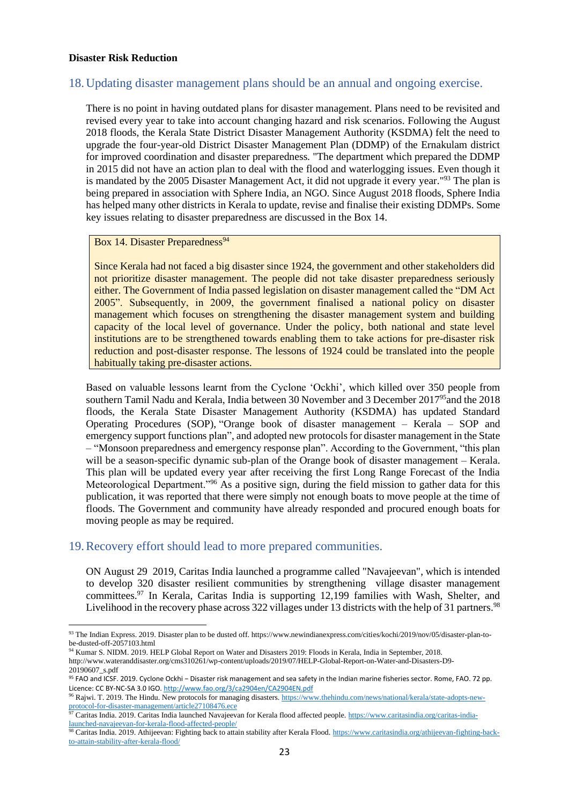#### **Disaster Risk Reduction**

## <span id="page-22-0"></span>18.Updating disaster management plans should be an annual and ongoing exercise.

There is no point in having outdated plans for disaster management. Plans need to be revisited and revised every year to take into account changing hazard and risk scenarios. Following the August 2018 floods, the Kerala State District Disaster Management Authority (KSDMA) felt the need to upgrade the four-year-old District Disaster Management Plan (DDMP) of the Ernakulam district for improved coordination and disaster preparedness. "The department which prepared the DDMP in 2015 did not have an action plan to deal with the flood and waterlogging issues. Even though it is mandated by the 2005 Disaster Management Act, it did not upgrade it every year."<sup>93</sup> The plan is being prepared in association with Sphere India, an NGO. Since August 2018 floods, Sphere India has helped many other districts in Kerala to update, revise and finalise their existing DDMPs. Some key issues relating to disaster preparedness are discussed in the Box 14.

### Box 14. Disaster Preparedness<sup>94</sup>

Since Kerala had not faced a big disaster since 1924, the government and other stakeholders did not prioritize disaster management. The people did not take disaster preparedness seriously either. The Government of India passed legislation on disaster management called the "DM Act 2005". Subsequently, in 2009, the government finalised a national policy on disaster management which focuses on strengthening the disaster management system and building capacity of the local level of governance. Under the policy, both national and state level institutions are to be strengthened towards enabling them to take actions for pre-disaster risk reduction and post-disaster response. The lessons of 1924 could be translated into the people habitually taking pre-disaster actions.

Based on valuable lessons learnt from the Cyclone 'Ockhi', which killed over 350 people from southern Tamil Nadu and Kerala, India between 30 November and 3 December 2017<sup>95</sup>and the 2018 floods, the Kerala State Disaster Management Authority (KSDMA) has updated Standard Operating Procedures (SOP), "Orange book of disaster management – Kerala – SOP and emergency support functions plan", and adopted new protocols for disaster management in the State – "Monsoon preparedness and emergency response plan". According to the Government, "this plan will be a season-specific dynamic sub-plan of the Orange book of disaster management – Kerala. This plan will be updated every year after receiving the first Long Range Forecast of the India Meteorological Department."<sup>96</sup> As a positive sign, during the field mission to gather data for this publication, it was reported that there were simply not enough boats to move people at the time of floods. The Government and community have already responded and procured enough boats for moving people as may be required.

## <span id="page-22-1"></span>19.Recovery effort should lead to more prepared communities.

ON August 29 2019, Caritas India launched a programme called "Navajeevan", which is intended to develop 320 disaster resilient communities by strengthening village disaster management committees.<sup>97</sup> In Kerala, Caritas India is supporting 12,199 families with Wash, Shelter, and Livelihood in the recovery phase across 322 villages under 13 districts with the help of 31 partners.<sup>98</sup>

<sup>93</sup> The Indian Express. 2019. Disaster plan to be dusted off. https://www.newindianexpress.com/cities/kochi/2019/nov/05/disaster-plan-tobe-dusted-off-2057103.html

<sup>94</sup> Kumar S. NIDM. 2019. HELP Global Report on Water and Disasters 2019: Floods in Kerala, India in September, 2018. http://www.wateranddisaster.org/cms310261/wp-content/uploads/2019/07/HELP-Global-Report-on-Water-and-Disasters-D9- 20190607\_s.pdf

<sup>95</sup> FAO and ICSF. 2019. Cyclone Ockhi − Disaster risk management and sea safety in the Indian marine fisheries sector. Rome, FAO. 72 pp. Licence: CC BY-NC-SA 3.0 IGO. <http://www.fao.org/3/ca2904en/CA2904EN.pdf>

<sup>96</sup> Rajwi. T. 2019. The Hindu. New protocols for managing disasters[. https://www.thehindu.com/news/national/kerala/state-adopts-new](https://www.thehindu.com/news/national/kerala/state-adopts-new-protocol-for-disaster-management/article27108476.ece)[protocol-for-disaster-management/article27108476.ece](https://www.thehindu.com/news/national/kerala/state-adopts-new-protocol-for-disaster-management/article27108476.ece)

<sup>97</sup> Caritas India. 2019. Caritas India launched Navajeevan for Kerala flood affected people[. https://www.caritasindia.org/caritas-india](https://www.caritasindia.org/caritas-india-launched-navajeevan-for-kerala-flood-affected-people/)[launched-navajeevan-for-kerala-flood-affected-people/](https://www.caritasindia.org/caritas-india-launched-navajeevan-for-kerala-flood-affected-people/)

<sup>98</sup> Caritas India. 2019. Athijeevan: Fighting back to attain stability after Kerala Flood[. https://www.caritasindia.org/athijeevan-fighting-back](https://www.caritasindia.org/athijeevan-fighting-back-to-attain-stability-after-kerala-flood/)[to-attain-stability-after-kerala-flood/](https://www.caritasindia.org/athijeevan-fighting-back-to-attain-stability-after-kerala-flood/)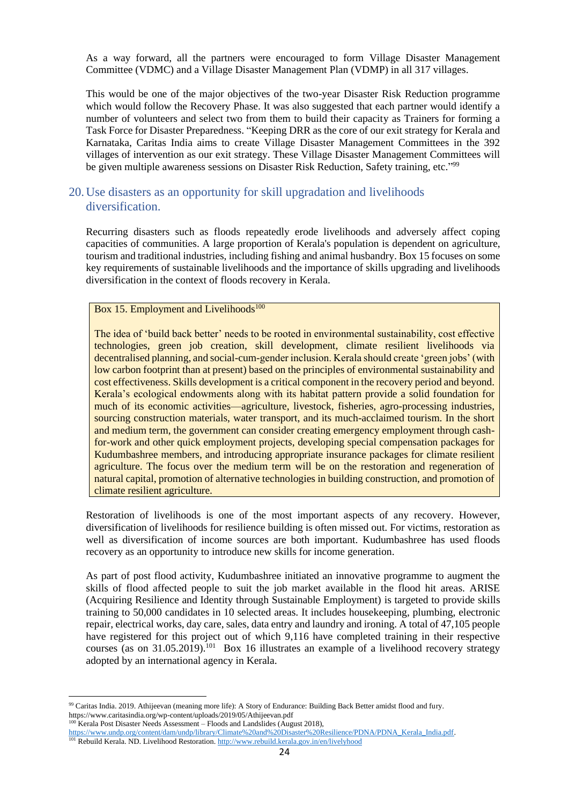As a way forward, all the partners were encouraged to form Village Disaster Management Committee (VDMC) and a Village Disaster Management Plan (VDMP) in all 317 villages.

This would be one of the major objectives of the two-year Disaster Risk Reduction programme which would follow the Recovery Phase. It was also suggested that each partner would identify a number of volunteers and select two from them to build their capacity as Trainers for forming a Task Force for Disaster Preparedness. "Keeping DRR as the core of our exit strategy for Kerala and Karnataka, Caritas India aims to create Village Disaster Management Committees in the 392 villages of intervention as our exit strategy. These Village Disaster Management Committees will be given multiple awareness sessions on Disaster Risk Reduction, Safety training, etc."<sup>99</sup>

## <span id="page-23-0"></span>20.Use disasters as an opportunity for skill upgradation and livelihoods diversification.

Recurring disasters such as floods repeatedly erode livelihoods and adversely affect coping capacities of communities. A large proportion of Kerala's population is dependent on agriculture, tourism and traditional industries, including fishing and animal husbandry. Box 15 focuses on some key requirements of sustainable livelihoods and the importance of skills upgrading and livelihoods diversification in the context of floods recovery in Kerala.

#### Box 15. Employment and Livelihoods $100$

The idea of 'build back better' needs to be rooted in environmental sustainability, cost effective technologies, green job creation, skill development, climate resilient livelihoods via decentralised planning, and social-cum-gender inclusion. Kerala should create 'green jobs' (with low carbon footprint than at present) based on the principles of environmental sustainability and cost effectiveness. Skills development is a critical component in the recovery period and beyond. Kerala's ecological endowments along with its habitat pattern provide a solid foundation for much of its economic activities—agriculture, livestock, fisheries, agro-processing industries, sourcing construction materials, water transport, and its much-acclaimed tourism. In the short and medium term, the government can consider creating emergency employment through cashfor-work and other quick employment projects, developing special compensation packages for Kudumbashree members, and introducing appropriate insurance packages for climate resilient agriculture. The focus over the medium term will be on the restoration and regeneration of natural capital, promotion of alternative technologies in building construction, and promotion of climate resilient agriculture.

Restoration of livelihoods is one of the most important aspects of any recovery. However, diversification of livelihoods for resilience building is often missed out. For victims, restoration as well as diversification of income sources are both important. Kudumbashree has used floods recovery as an opportunity to introduce new skills for income generation.

As part of post flood activity, Kudumbashree initiated an innovative programme to augment the skills of flood affected people to suit the job market available in the flood hit areas. ARISE (Acquiring Resilience and Identity through Sustainable Employment) is targeted to provide skills training to 50,000 candidates in 10 selected areas. It includes housekeeping, plumbing, electronic repair, electrical works, day care, sales, data entry and laundry and ironing. A total of 47,105 people have registered for this project out of which 9,116 have completed training in their respective courses (as on 31.05.2019).<sup>101</sup> Box 16 illustrates an example of a livelihood recovery strategy adopted by an international agency in Kerala.

<sup>99</sup> Caritas India. 2019. Athijeevan (meaning more life): A Story of Endurance: Building Back Better amidst flood and fury. https://www.caritasindia.org/wp-content/uploads/2019/05/Athijeevan.pdf

<sup>100</sup> Kerala Post Disaster Needs Assessment – Floods and Landslides (August 2018), [https://www.undp.org/content/dam/undp/library/Climate%20and%20Disaster%20Resilience/PDNA/PDNA\\_Kerala\\_India.pdf.](https://www.undp.org/content/dam/undp/library/Climate%20and%20Disaster%20Resilience/PDNA/PDNA_Kerala_India.pdf)

<sup>101</sup> Rebuild Kerala. ND. Livelihood Restoration[. http://www.rebuild.kerala.gov.in/en/livelyhood](http://www.rebuild.kerala.gov.in/en/livelyhood)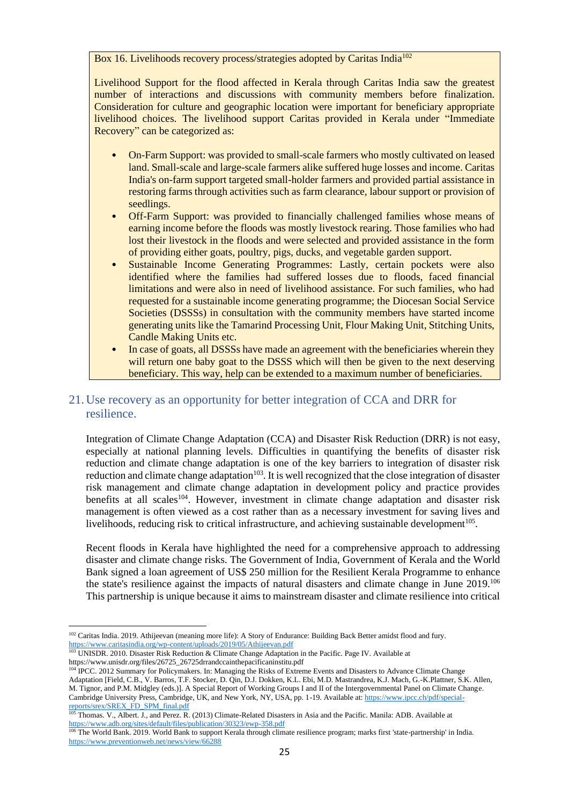Box 16. Livelihoods recovery process/strategies adopted by Caritas India<sup>102</sup>

Livelihood Support for the flood affected in Kerala through Caritas India saw the greatest number of interactions and discussions with community members before finalization. Consideration for culture and geographic location were important for beneficiary appropriate livelihood choices. The livelihood support Caritas provided in Kerala under "Immediate Recovery" can be categorized as:

- On-Farm Support: was provided to small-scale farmers who mostly cultivated on leased land. Small-scale and large-scale farmers alike suffered huge losses and income. Caritas India's on-farm support targeted small-holder farmers and provided partial assistance in restoring farms through activities such as farm clearance, labour support or provision of seedlings.
- Off-Farm Support: was provided to financially challenged families whose means of earning income before the floods was mostly livestock rearing. Those families who had lost their livestock in the floods and were selected and provided assistance in the form of providing either goats, poultry, pigs, ducks, and vegetable garden support.
- Sustainable Income Generating Programmes: Lastly, certain pockets were also identified where the families had suffered losses due to floods, faced financial limitations and were also in need of livelihood assistance. For such families, who had requested for a sustainable income generating programme; the Diocesan Social Service Societies (DSSSs) in consultation with the community members have started income generating units like the Tamarind Processing Unit, Flour Making Unit, Stitching Units, Candle Making Units etc.
- In case of goats, all DSSSs have made an agreement with the beneficiaries wherein they will return one baby goat to the DSSS which will then be given to the next deserving beneficiary. This way, help can be extended to a maximum number of beneficiaries.

## <span id="page-24-0"></span>21.Use recovery as an opportunity for better integration of CCA and DRR for resilience.

Integration of Climate Change Adaptation (CCA) and Disaster Risk Reduction (DRR) is not easy, especially at national planning levels. Difficulties in quantifying the benefits of disaster risk reduction and climate change adaptation is one of the key barriers to integration of disaster risk reduction and climate change adaptation<sup>103</sup>. It is well recognized that the close integration of disaster risk management and climate change adaptation in development policy and practice provides benefits at all scales<sup>104</sup>. However, investment in climate change adaptation and disaster risk management is often viewed as a cost rather than as a necessary investment for saving lives and livelihoods, reducing risk to critical infrastructure, and achieving sustainable development<sup>105</sup>.

Recent floods in Kerala have highlighted the need for a comprehensive approach to addressing disaster and climate change risks. The Government of India, Government of Kerala and the World Bank signed a loan agreement of US\$ 250 million for the Resilient Kerala Programme to enhance the state's resilience against the impacts of natural disasters and climate change in June 2019.<sup>106</sup> This partnership is unique because it aims to mainstream disaster and climate resilience into critical

<sup>&</sup>lt;sup>102</sup> Caritas India. 2019. Athijeevan (meaning more life): A Story of Endurance: Building Back Better amidst flood and fury. <https://www.caritasindia.org/wp-content/uploads/2019/05/Athijeevan.pdf>

<sup>&</sup>lt;sup>103</sup> UNISDR. 2010. Disaster Risk Reduction & Climate Change Adaptation in the Pacific. Page IV. Available at https://www.unisdr.org/files/26725\_26725drrandccainthepacificaninstitu.pdf

<sup>&</sup>lt;sup>104</sup> IPCC. 2012 Summary for Policymakers. In: Managing the Risks of Extreme Events and Disasters to Advance Climate Change Adaptation [Field, C.B., V. Barros, T.F. Stocker, D. Qin, D.J. Dokken, K.L. Ebi, M.D. Mastrandrea, K.J. Mach, G.-K.Plattner, S.K. Allen, M. Tignor, and P.M. Midgley (eds.)]. A Special Report of Working Groups I and II of the Intergovernmental Panel on Climate Change. Cambridge University Press, Cambridge, UK, and New York, NY, USA, pp. 1-19. Available at[: https://www.ipcc.ch/pdf/special](https://www.ipcc.ch/pdf/special-reports/srex/SREX_FD_SPM_final.pdf)[reports/srex/SREX\\_FD\\_SPM\\_final.pdf](https://www.ipcc.ch/pdf/special-reports/srex/SREX_FD_SPM_final.pdf)

<sup>105</sup> Thomas. V., Albert. J., and Perez. R. (2013) Climate-Related Disasters in Asia and the Pacific. Manila: ADB. Available at <https://www.adb.org/sites/default/files/publication/30323/ewp-358.pdf>

<sup>&</sup>lt;sup>106</sup> The World Bank. 2019. World Bank to support Kerala through climate resilience program; marks first 'state-partnership' in India. <https://www.preventionweb.net/news/view/66288>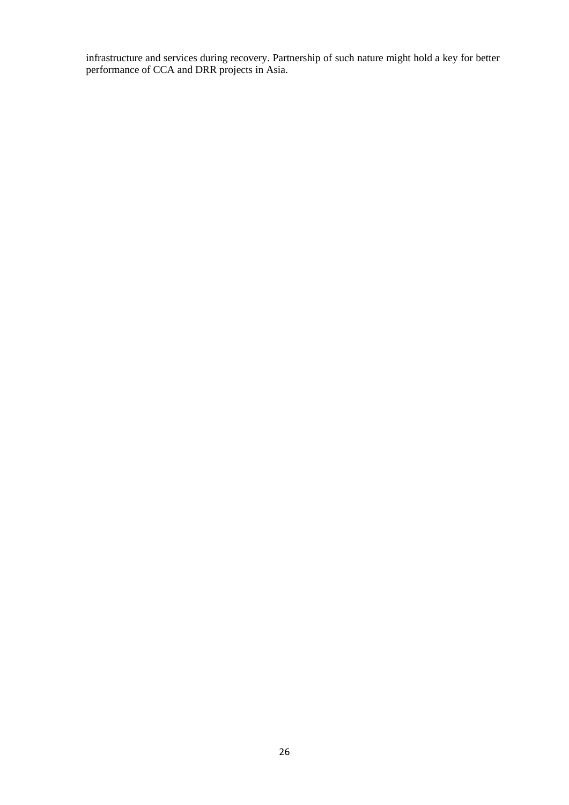infrastructure and services during recovery. Partnership of such nature might hold a key for better performance of CCA and DRR projects in Asia.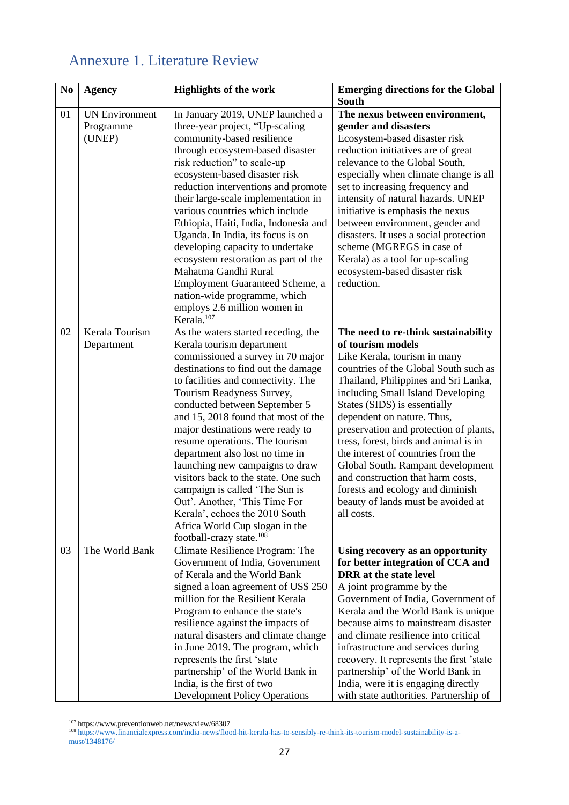## <span id="page-26-0"></span>Annexure 1. Literature Review

| No | <b>Agency</b>                                | <b>Highlights of the work</b>                                                                                                                                                                                                                                                                                                                                                                                                                                                                                                                                                                                                                                                         | <b>Emerging directions for the Global</b><br><b>South</b>                                                                                                                                                                                                                                                                                                                                                                                                                                                                                                               |
|----|----------------------------------------------|---------------------------------------------------------------------------------------------------------------------------------------------------------------------------------------------------------------------------------------------------------------------------------------------------------------------------------------------------------------------------------------------------------------------------------------------------------------------------------------------------------------------------------------------------------------------------------------------------------------------------------------------------------------------------------------|-------------------------------------------------------------------------------------------------------------------------------------------------------------------------------------------------------------------------------------------------------------------------------------------------------------------------------------------------------------------------------------------------------------------------------------------------------------------------------------------------------------------------------------------------------------------------|
| 01 | <b>UN Environment</b><br>Programme<br>(UNEP) | In January 2019, UNEP launched a<br>three-year project, "Up-scaling<br>community-based resilience<br>through ecosystem-based disaster<br>risk reduction" to scale-up<br>ecosystem-based disaster risk<br>reduction interventions and promote<br>their large-scale implementation in<br>various countries which include<br>Ethiopia, Haiti, India, Indonesia and<br>Uganda. In India, its focus is on<br>developing capacity to undertake<br>ecosystem restoration as part of the<br>Mahatma Gandhi Rural<br>Employment Guaranteed Scheme, a<br>nation-wide programme, which<br>employs 2.6 million women in                                                                           | The nexus between environment,<br>gender and disasters<br>Ecosystem-based disaster risk<br>reduction initiatives are of great<br>relevance to the Global South,<br>especially when climate change is all<br>set to increasing frequency and<br>intensity of natural hazards. UNEP<br>initiative is emphasis the nexus<br>between environment, gender and<br>disasters. It uses a social protection<br>scheme (MGREGS in case of<br>Kerala) as a tool for up-scaling<br>ecosystem-based disaster risk<br>reduction.                                                      |
| 02 | Kerala Tourism<br>Department                 | Kerala. <sup>107</sup><br>As the waters started receding, the<br>Kerala tourism department<br>commissioned a survey in 70 major<br>destinations to find out the damage<br>to facilities and connectivity. The<br>Tourism Readyness Survey,<br>conducted between September 5<br>and 15, 2018 found that most of the<br>major destinations were ready to<br>resume operations. The tourism<br>department also lost no time in<br>launching new campaigns to draw<br>visitors back to the state. One such<br>campaign is called 'The Sun is<br>Out'. Another, 'This Time For<br>Kerala', echoes the 2010 South<br>Africa World Cup slogan in the<br>football-crazy state. <sup>108</sup> | The need to re-think sustainability<br>of tourism models<br>Like Kerala, tourism in many<br>countries of the Global South such as<br>Thailand, Philippines and Sri Lanka,<br>including Small Island Developing<br>States (SIDS) is essentially<br>dependent on nature. Thus,<br>preservation and protection of plants,<br>tress, forest, birds and animal is in<br>the interest of countries from the<br>Global South. Rampant development<br>and construction that harm costs,<br>forests and ecology and diminish<br>beauty of lands must be avoided at<br>all costs. |
| 03 | The World Bank                               | Climate Resilience Program: The<br>Government of India, Government<br>of Kerala and the World Bank<br>signed a loan agreement of US\$ 250<br>million for the Resilient Kerala<br>Program to enhance the state's<br>resilience against the impacts of<br>natural disasters and climate change<br>in June 2019. The program, which<br>represents the first 'state<br>partnership' of the World Bank in<br>India, is the first of two<br><b>Development Policy Operations</b>                                                                                                                                                                                                            | Using recovery as an opportunity<br>for better integration of CCA and<br><b>DRR</b> at the state level<br>A joint programme by the<br>Government of India, Government of<br>Kerala and the World Bank is unique<br>because aims to mainstream disaster<br>and climate resilience into critical<br>infrastructure and services during<br>recovery. It represents the first 'state<br>partnership' of the World Bank in<br>India, were it is engaging directly<br>with state authorities. Partnership of                                                                  |

<sup>107</sup> https://www.preventionweb.net/news/view/68307

<sup>108</sup> [https://www.financialexpress.com/india-news/flood-hit-kerala-has-to-sensibly-re-think-its-tourism-model-sustainability-is-a](https://www.financialexpress.com/india-news/flood-hit-kerala-has-to-sensibly-re-think-its-tourism-model-sustainability-is-a-must/1348176/)[must/1348176/](https://www.financialexpress.com/india-news/flood-hit-kerala-has-to-sensibly-re-think-its-tourism-model-sustainability-is-a-must/1348176/)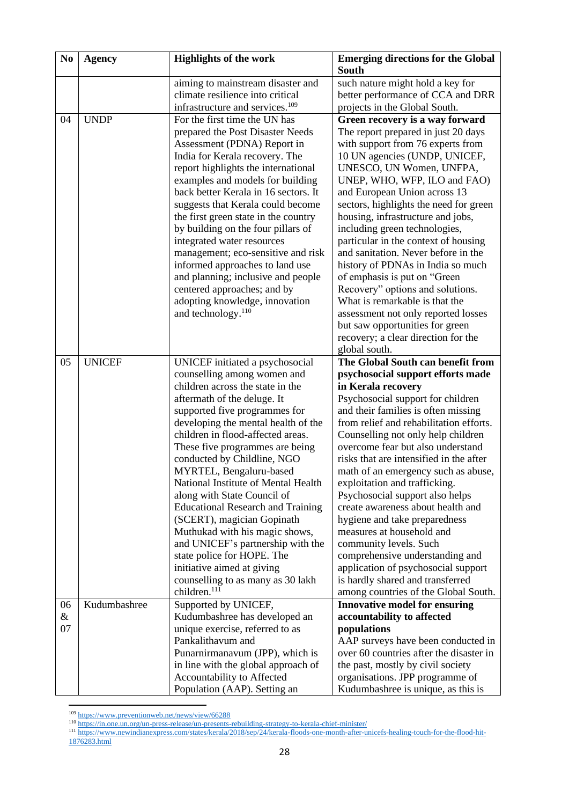| N <sub>0</sub> | <b>Agency</b> | <b>Highlights of the work</b>               | <b>Emerging directions for the Global</b><br>South |
|----------------|---------------|---------------------------------------------|----------------------------------------------------|
|                |               | aiming to mainstream disaster and           | such nature might hold a key for                   |
|                |               | climate resilience into critical            | better performance of CCA and DRR                  |
|                |               | infrastructure and services. <sup>109</sup> | projects in the Global South.                      |
| 04             | <b>UNDP</b>   | For the first time the UN has               |                                                    |
|                |               |                                             | Green recovery is a way forward                    |
|                |               | prepared the Post Disaster Needs            | The report prepared in just 20 days                |
|                |               | Assessment (PDNA) Report in                 | with support from 76 experts from                  |
|                |               | India for Kerala recovery. The              | 10 UN agencies (UNDP, UNICEF,                      |
|                |               | report highlights the international         | UNESCO, UN Women, UNFPA,                           |
|                |               | examples and models for building            | UNEP, WHO, WFP, ILO and FAO)                       |
|                |               | back better Kerala in 16 sectors. It        | and European Union across 13                       |
|                |               | suggests that Kerala could become           | sectors, highlights the need for green             |
|                |               | the first green state in the country        | housing, infrastructure and jobs,                  |
|                |               | by building on the four pillars of          | including green technologies,                      |
|                |               | integrated water resources                  | particular in the context of housing               |
|                |               | management; eco-sensitive and risk          | and sanitation. Never before in the                |
|                |               | informed approaches to land use             | history of PDNAs in India so much                  |
|                |               | and planning; inclusive and people          | of emphasis is put on "Green"                      |
|                |               | centered approaches; and by                 | Recovery" options and solutions.                   |
|                |               | adopting knowledge, innovation              | What is remarkable is that the                     |
|                |               | and technology. <sup>110</sup>              | assessment not only reported losses                |
|                |               |                                             | but saw opportunities for green                    |
|                |               |                                             | recovery; a clear direction for the                |
|                |               |                                             | global south.                                      |
| 05             | <b>UNICEF</b> | UNICEF initiated a psychosocial             | The Global South can benefit from                  |
|                |               | counselling among women and                 | psychosocial support efforts made                  |
|                |               | children across the state in the            | in Kerala recovery                                 |
|                |               | aftermath of the deluge. It                 | Psychosocial support for children                  |
|                |               | supported five programmes for               | and their families is often missing                |
|                |               | developing the mental health of the         | from relief and rehabilitation efforts.            |
|                |               | children in flood-affected areas.           | Counselling not only help children                 |
|                |               | These five programmes are being             | overcome fear but also understand                  |
|                |               | conducted by Childline, NGO                 | risks that are intensified in the after            |
|                |               | MYRTEL, Bengaluru-based                     | math of an emergency such as abuse,                |
|                |               | National Institute of Mental Health         | exploitation and trafficking.                      |
|                |               | along with State Council of                 | Psychosocial support also helps                    |
|                |               | <b>Educational Research and Training</b>    | create awareness about health and                  |
|                |               | (SCERT), magician Gopinath                  | hygiene and take preparedness                      |
|                |               | Muthukad with his magic shows,              | measures at household and                          |
|                |               | and UNICEF's partnership with the           | community levels. Such                             |
|                |               | state police for HOPE. The                  | comprehensive understanding and                    |
|                |               | initiative aimed at giving                  | application of psychosocial support                |
|                |               | counselling to as many as 30 lakh           | is hardly shared and transferred                   |
|                |               | children. <sup>111</sup>                    | among countries of the Global South.               |
| 06             | Kudumbashree  | Supported by UNICEF,                        | <b>Innovative model for ensuring</b>               |
| $\&$           |               | Kudumbashree has developed an               | accountability to affected                         |
| 07             |               | unique exercise, referred to as             | populations                                        |
|                |               | Pankalithavum and                           | AAP surveys have been conducted in                 |
|                |               | Punarnirmanavum (JPP), which is             | over 60 countries after the disaster in            |
|                |               | in line with the global approach of         | the past, mostly by civil society                  |
|                |               | Accountability to Affected                  | organisations. JPP programme of                    |
|                |               | Population (AAP). Setting an                | Kudumbashree is unique, as this is                 |

<sup>&</sup>lt;sup>109</sup> <https://www.preventionweb.net/news/view/66288>

<sup>110</sup> <https://in.one.un.org/un-press-release/un-presents-rebuilding-strategy-to-kerala-chief-minister/>

<sup>&</sup>lt;sup>111</sup> [https://www.newindianexpress.com/states/kerala/2018/sep/24/kerala-floods-one-month-after-unicefs-healing-touch-for-the-flood-hit-](https://www.newindianexpress.com/states/kerala/2018/sep/24/kerala-floods-one-month-after-unicefs-healing-touch-for-the-flood-hit-1876283.html)

[<sup>1876283.</sup>html](https://www.newindianexpress.com/states/kerala/2018/sep/24/kerala-floods-one-month-after-unicefs-healing-touch-for-the-flood-hit-1876283.html)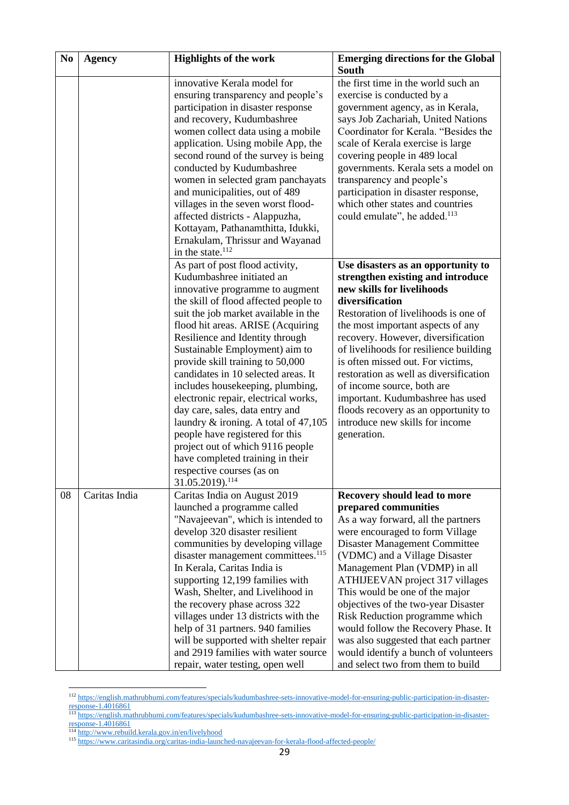| N <sub>0</sub> | <b>Agency</b> | <b>Highlights of the work</b>                                                                                                                                                                                                                                                                                                                                                                                                                                                                                                                                                                                                                                                                       | <b>Emerging directions for the Global</b><br><b>South</b>                                                                                                                                                                                                                                                                                                                                                                                                                                                                                  |
|----------------|---------------|-----------------------------------------------------------------------------------------------------------------------------------------------------------------------------------------------------------------------------------------------------------------------------------------------------------------------------------------------------------------------------------------------------------------------------------------------------------------------------------------------------------------------------------------------------------------------------------------------------------------------------------------------------------------------------------------------------|--------------------------------------------------------------------------------------------------------------------------------------------------------------------------------------------------------------------------------------------------------------------------------------------------------------------------------------------------------------------------------------------------------------------------------------------------------------------------------------------------------------------------------------------|
|                |               | innovative Kerala model for<br>ensuring transparency and people's<br>participation in disaster response<br>and recovery, Kudumbashree<br>women collect data using a mobile<br>application. Using mobile App, the<br>second round of the survey is being<br>conducted by Kudumbashree<br>women in selected gram panchayats<br>and municipalities, out of 489<br>villages in the seven worst flood-<br>affected districts - Alappuzha,<br>Kottayam, Pathanamthitta, Idukki,<br>Ernakulam, Thrissur and Wayanad<br>in the state. $112$                                                                                                                                                                 | the first time in the world such an<br>exercise is conducted by a<br>government agency, as in Kerala,<br>says Job Zachariah, United Nations<br>Coordinator for Kerala. "Besides the<br>scale of Kerala exercise is large<br>covering people in 489 local<br>governments. Kerala sets a model on<br>transparency and people's<br>participation in disaster response,<br>which other states and countries<br>could emulate", he added. <sup>113</sup>                                                                                        |
|                |               | As part of post flood activity,<br>Kudumbashree initiated an<br>innovative programme to augment<br>the skill of flood affected people to<br>suit the job market available in the<br>flood hit areas. ARISE (Acquiring<br>Resilience and Identity through<br>Sustainable Employment) aim to<br>provide skill training to 50,000<br>candidates in 10 selected areas. It<br>includes housekeeping, plumbing,<br>electronic repair, electrical works,<br>day care, sales, data entry and<br>laundry & ironing. A total of 47,105<br>people have registered for this<br>project out of which 9116 people<br>have completed training in their<br>respective courses (as on<br>31.05.2019). <sup>114</sup> | Use disasters as an opportunity to<br>strengthen existing and introduce<br>new skills for livelihoods<br>diversification<br>Restoration of livelihoods is one of<br>the most important aspects of any<br>recovery. However, diversification<br>of livelihoods for resilience building<br>is often missed out. For victims,<br>restoration as well as diversification<br>of income source, both are<br>important. Kudumbashree has used<br>floods recovery as an opportunity to<br>introduce new skills for income<br>generation.           |
| 08             | Caritas India | Caritas India on August 2019<br>launched a programme called<br>"Navajeevan", which is intended to<br>develop 320 disaster resilient<br>communities by developing village<br>disaster management committees. <sup>115</sup><br>In Kerala, Caritas India is<br>supporting 12,199 families with<br>Wash, Shelter, and Livelihood in<br>the recovery phase across 322<br>villages under 13 districts with the<br>help of 31 partners. 940 families<br>will be supported with shelter repair<br>and 2919 families with water source<br>repair, water testing, open well                                                                                                                                  | Recovery should lead to more<br>prepared communities<br>As a way forward, all the partners<br>were encouraged to form Village<br>Disaster Management Committee<br>(VDMC) and a Village Disaster<br>Management Plan (VDMP) in all<br>ATHIJEEVAN project 317 villages<br>This would be one of the major<br>objectives of the two-year Disaster<br>Risk Reduction programme which<br>would follow the Recovery Phase. It<br>was also suggested that each partner<br>would identify a bunch of volunteers<br>and select two from them to build |

<sup>112</sup> [https://english.mathrubhumi.com/features/specials/kudumbashree-sets-innovative-model-for-ensuring-public-participation-in-disaster](https://english.mathrubhumi.com/features/specials/kudumbashree-sets-innovative-model-for-ensuring-public-participation-in-disaster-response-1.4016861)[response-1.4016861](https://english.mathrubhumi.com/features/specials/kudumbashree-sets-innovative-model-for-ensuring-public-participation-in-disaster-response-1.4016861)

<sup>&</sup>lt;sup>113</sup> [https://english.mathrubhumi.com/features/specials/kudumbashree-sets-innovative-model-for-ensuring-public-participation-in-disaster](https://english.mathrubhumi.com/features/specials/kudumbashree-sets-innovative-model-for-ensuring-public-participation-in-disaster-response-1.4016861)[response-1.4016861](https://english.mathrubhumi.com/features/specials/kudumbashree-sets-innovative-model-for-ensuring-public-participation-in-disaster-response-1.4016861)

<sup>&</sup>lt;sup>114</sup> <http://www.rebuild.kerala.gov.in/en/livelyhood>

<sup>115</sup> <https://www.caritasindia.org/caritas-india-launched-navajeevan-for-kerala-flood-affected-people/>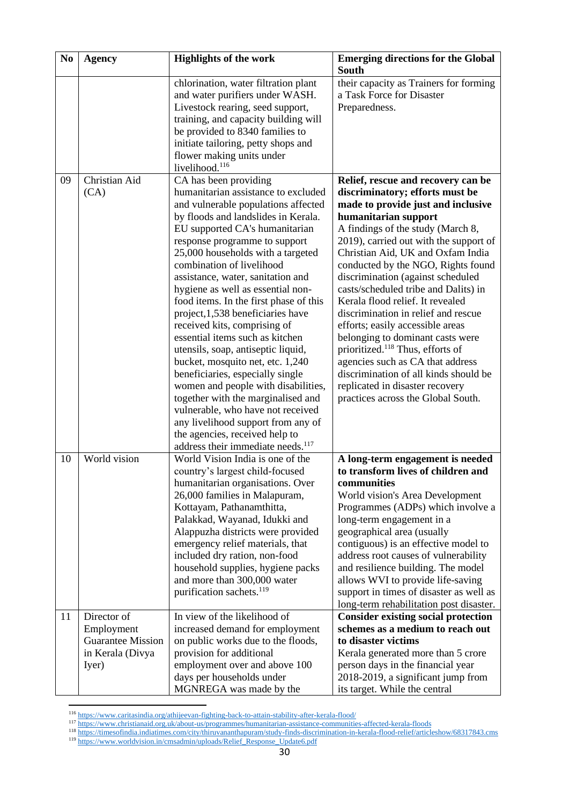| N <sub>0</sub> | <b>Agency</b>            | <b>Highlights of the work</b>                           | <b>Emerging directions for the Global</b>                           |
|----------------|--------------------------|---------------------------------------------------------|---------------------------------------------------------------------|
|                |                          |                                                         | <b>South</b>                                                        |
|                |                          | chlorination, water filtration plant                    | their capacity as Trainers for forming<br>a Task Force for Disaster |
|                |                          | and water purifiers under WASH.                         |                                                                     |
|                |                          | Livestock rearing, seed support,                        | Preparedness.                                                       |
|                |                          | training, and capacity building will                    |                                                                     |
|                |                          | be provided to 8340 families to                         |                                                                     |
|                |                          | initiate tailoring, petty shops and                     |                                                                     |
|                |                          | flower making units under<br>livelihood. <sup>116</sup> |                                                                     |
| 09             | Christian Aid            | CA has been providing                                   | Relief, rescue and recovery can be                                  |
|                | (CA)                     | humanitarian assistance to excluded                     | discriminatory; efforts must be                                     |
|                |                          | and vulnerable populations affected                     | made to provide just and inclusive                                  |
|                |                          | by floods and landslides in Kerala.                     | humanitarian support                                                |
|                |                          | EU supported CA's humanitarian                          | A findings of the study (March 8,                                   |
|                |                          | response programme to support                           | 2019), carried out with the support of                              |
|                |                          | 25,000 households with a targeted                       | Christian Aid, UK and Oxfam India                                   |
|                |                          | combination of livelihood                               | conducted by the NGO, Rights found                                  |
|                |                          | assistance, water, sanitation and                       | discrimination (against scheduled                                   |
|                |                          | hygiene as well as essential non-                       | casts/scheduled tribe and Dalits) in                                |
|                |                          | food items. In the first phase of this                  | Kerala flood relief. It revealed                                    |
|                |                          | project, 1,538 beneficiaries have                       | discrimination in relief and rescue                                 |
|                |                          | received kits, comprising of                            | efforts; easily accessible areas                                    |
|                |                          | essential items such as kitchen                         | belonging to dominant casts were                                    |
|                |                          | utensils, soap, antiseptic liquid,                      | prioritized. <sup>118</sup> Thus, efforts of                        |
|                |                          | bucket, mosquito net, etc. 1,240                        | agencies such as CA that address                                    |
|                |                          | beneficiaries, especially single                        | discrimination of all kinds should be                               |
|                |                          | women and people with disabilities,                     | replicated in disaster recovery                                     |
|                |                          | together with the marginalised and                      | practices across the Global South.                                  |
|                |                          | vulnerable, who have not received                       |                                                                     |
|                |                          | any livelihood support from any of                      |                                                                     |
|                |                          | the agencies, received help to                          |                                                                     |
|                |                          | address their immediate needs. <sup>117</sup>           |                                                                     |
| 10             | World vision             | World Vision India is one of the                        | A long-term engagement is needed                                    |
|                |                          | country's largest child-focused                         | to transform lives of children and                                  |
|                |                          | humanitarian organisations. Over                        | communities                                                         |
|                |                          | 26,000 families in Malapuram,                           | World vision's Area Development                                     |
|                |                          | Kottayam, Pathanamthitta,                               | Programmes (ADPs) which involve a                                   |
|                |                          | Palakkad, Wayanad, Idukki and                           | long-term engagement in a                                           |
|                |                          | Alappuzha districts were provided                       | geographical area (usually                                          |
|                |                          | emergency relief materials, that                        | contiguous) is an effective model to                                |
|                |                          | included dry ration, non-food                           | address root causes of vulnerability                                |
|                |                          | household supplies, hygiene packs                       | and resilience building. The model                                  |
|                |                          | and more than 300,000 water                             | allows WVI to provide life-saving                                   |
|                |                          | purification sachets. <sup>119</sup>                    | support in times of disaster as well as                             |
|                |                          |                                                         | long-term rehabilitation post disaster.                             |
| 11             | Director of              | In view of the likelihood of                            | <b>Consider existing social protection</b>                          |
|                | Employment               | increased demand for employment                         | schemes as a medium to reach out                                    |
|                | <b>Guarantee Mission</b> | on public works due to the floods,                      | to disaster victims                                                 |
|                | in Kerala (Divya         | provision for additional                                | Kerala generated more than 5 crore                                  |
|                | Iyer)                    | employment over and above 100                           | person days in the financial year                                   |
|                |                          | days per households under                               | 2018-2019, a significant jump from                                  |
|                |                          | MGNREGA was made by the                                 | its target. While the central                                       |

<sup>116</sup> <https://www.caritasindia.org/athijeevan-fighting-back-to-attain-stability-after-kerala-flood/>

<sup>119</sup> [https://www.worldvision.in/cmsadmin/uploads/Relief\\_Response\\_Update6.pdf](https://www.worldvision.in/cmsadmin/uploads/Relief_Response_Update6.pdf)

<sup>&</sup>lt;sup>117</sup> <https://www.christianaid.org.uk/about-us/programmes/humanitarian-assistance-communities-affected-kerala-floods>

<sup>118</sup> <https://timesofindia.indiatimes.com/city/thiruvananthapuram/study-finds-discrimination-in-kerala-flood-relief/articleshow/68317843.cms>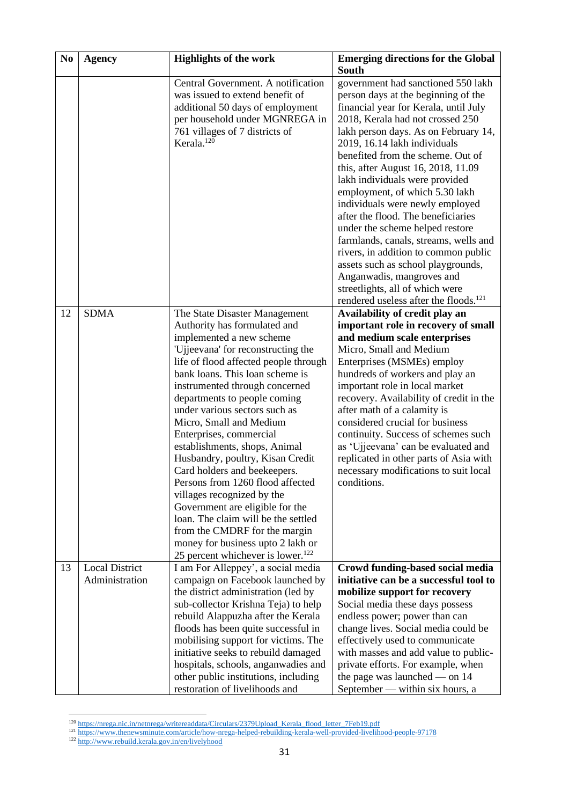| N <sub>0</sub> | <b>Agency</b>                           | <b>Highlights of the work</b>                                                                                                                                                                                                                                                                                                                                                                                                                                                                                                                                                                                                                                                               | <b>Emerging directions for the Global</b><br><b>South</b>                                                                                                                                                                                                                                                                                                                                                                                                                                                                                                                                                                                                                                                                             |
|----------------|-----------------------------------------|---------------------------------------------------------------------------------------------------------------------------------------------------------------------------------------------------------------------------------------------------------------------------------------------------------------------------------------------------------------------------------------------------------------------------------------------------------------------------------------------------------------------------------------------------------------------------------------------------------------------------------------------------------------------------------------------|---------------------------------------------------------------------------------------------------------------------------------------------------------------------------------------------------------------------------------------------------------------------------------------------------------------------------------------------------------------------------------------------------------------------------------------------------------------------------------------------------------------------------------------------------------------------------------------------------------------------------------------------------------------------------------------------------------------------------------------|
|                |                                         | Central Government. A notification<br>was issued to extend benefit of<br>additional 50 days of employment<br>per household under MGNREGA in<br>761 villages of 7 districts of<br>Kerala. <sup>120</sup>                                                                                                                                                                                                                                                                                                                                                                                                                                                                                     | government had sanctioned 550 lakh<br>person days at the beginning of the<br>financial year for Kerala, until July<br>2018, Kerala had not crossed 250<br>lakh person days. As on February 14,<br>2019, 16.14 lakh individuals<br>benefited from the scheme. Out of<br>this, after August 16, 2018, 11.09<br>lakh individuals were provided<br>employment, of which 5.30 lakh<br>individuals were newly employed<br>after the flood. The beneficiaries<br>under the scheme helped restore<br>farmlands, canals, streams, wells and<br>rivers, in addition to common public<br>assets such as school playgrounds,<br>Anganwadis, mangroves and<br>streetlights, all of which were<br>rendered useless after the floods. <sup>121</sup> |
| 12             | <b>SDMA</b>                             | The State Disaster Management<br>Authority has formulated and<br>implemented a new scheme<br>'Ujjeevana' for reconstructing the<br>life of flood affected people through<br>bank loans. This loan scheme is<br>instrumented through concerned<br>departments to people coming<br>under various sectors such as<br>Micro, Small and Medium<br>Enterprises, commercial<br>establishments, shops, Animal<br>Husbandry, poultry, Kisan Credit<br>Card holders and beekeepers.<br>Persons from 1260 flood affected<br>villages recognized by the<br>Government are eligible for the<br>loan. The claim will be the settled<br>from the CMDRF for the margin<br>money for business upto 2 lakh or | Availability of credit play an<br>important role in recovery of small<br>and medium scale enterprises<br>Micro, Small and Medium<br>Enterprises (MSMEs) employ<br>hundreds of workers and play an<br>important role in local market<br>recovery. Availability of credit in the<br>after math of a calamity is<br>considered crucial for business<br>continuity. Success of schemes such<br>as 'Ujjeevana' can be evaluated and<br>replicated in other parts of Asia with<br>necessary modifications to suit local<br>conditions.                                                                                                                                                                                                      |
| 13             | <b>Local District</b><br>Administration | 25 percent whichever is lower. <sup>122</sup><br>I am For Alleppey', a social media<br>campaign on Facebook launched by<br>the district administration (led by<br>sub-collector Krishna Teja) to help<br>rebuild Alappuzha after the Kerala<br>floods has been quite successful in<br>mobilising support for victims. The<br>initiative seeks to rebuild damaged<br>hospitals, schools, anganwadies and<br>other public institutions, including<br>restoration of livelihoods and                                                                                                                                                                                                           | Crowd funding-based social media<br>initiative can be a successful tool to<br>mobilize support for recovery<br>Social media these days possess<br>endless power; power than can<br>change lives. Social media could be<br>effectively used to communicate<br>with masses and add value to public-<br>private efforts. For example, when<br>the page was launched $-$ on 14<br>September — within six hours, a                                                                                                                                                                                                                                                                                                                         |

<sup>&</sup>lt;sup>120</sup> [https://nrega.nic.in/netnrega/writereaddata/Circulars/2379Upload\\_Kerala\\_flood\\_letter\\_7Feb19.pdf](https://nrega.nic.in/netnrega/writereaddata/Circulars/2379Upload_Kerala_flood_letter_7Feb19.pdf)

<sup>&</sup>lt;sup>121</sup> <https://www.thenewsminute.com/article/how-nrega-helped-rebuilding-kerala-well-provided-livelihood-people-97178>

<sup>&</sup>lt;sup>122</sup> <http://www.rebuild.kerala.gov.in/en/livelyhood>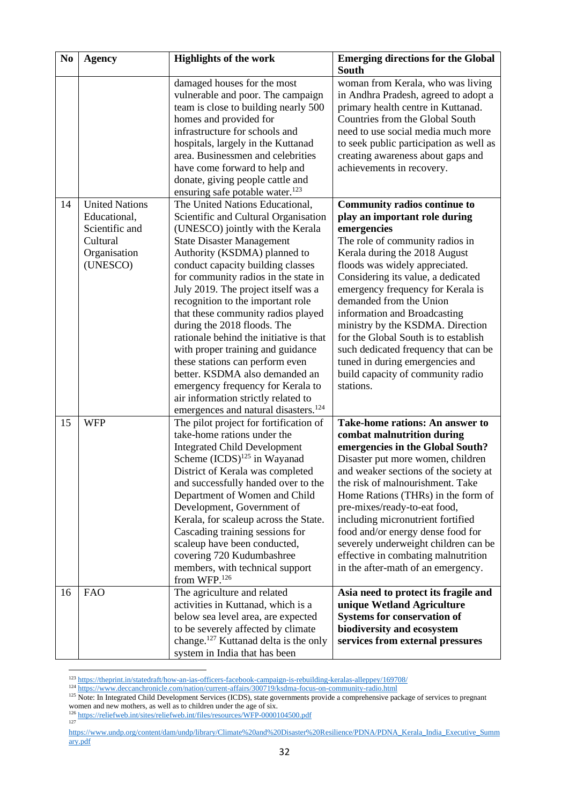| N <sub>0</sub> | <b>Agency</b>                                                                                   | <b>Highlights of the work</b>                                                                                                                                                                                                                                                                                                                                                                                                                                                                                                                                                                                                                                                                      | <b>Emerging directions for the Global</b><br><b>South</b>                                                                                                                                                                                                                                                                                                                                                                                                                                                                         |
|----------------|-------------------------------------------------------------------------------------------------|----------------------------------------------------------------------------------------------------------------------------------------------------------------------------------------------------------------------------------------------------------------------------------------------------------------------------------------------------------------------------------------------------------------------------------------------------------------------------------------------------------------------------------------------------------------------------------------------------------------------------------------------------------------------------------------------------|-----------------------------------------------------------------------------------------------------------------------------------------------------------------------------------------------------------------------------------------------------------------------------------------------------------------------------------------------------------------------------------------------------------------------------------------------------------------------------------------------------------------------------------|
|                |                                                                                                 | damaged houses for the most<br>vulnerable and poor. The campaign<br>team is close to building nearly 500<br>homes and provided for<br>infrastructure for schools and<br>hospitals, largely in the Kuttanad<br>area. Businessmen and celebrities<br>have come forward to help and<br>donate, giving people cattle and<br>ensuring safe potable water. <sup>123</sup>                                                                                                                                                                                                                                                                                                                                | woman from Kerala, who was living<br>in Andhra Pradesh, agreed to adopt a<br>primary health centre in Kuttanad.<br>Countries from the Global South<br>need to use social media much more<br>to seek public participation as well as<br>creating awareness about gaps and<br>achievements in recovery.                                                                                                                                                                                                                             |
| 14             | <b>United Nations</b><br>Educational,<br>Scientific and<br>Cultural<br>Organisation<br>(UNESCO) | The United Nations Educational,<br>Scientific and Cultural Organisation<br>(UNESCO) jointly with the Kerala<br><b>State Disaster Management</b><br>Authority (KSDMA) planned to<br>conduct capacity building classes<br>for community radios in the state in<br>July 2019. The project itself was a<br>recognition to the important role<br>that these community radios played<br>during the 2018 floods. The<br>rationale behind the initiative is that<br>with proper training and guidance<br>these stations can perform even<br>better. KSDMA also demanded an<br>emergency frequency for Kerala to<br>air information strictly related to<br>emergences and natural disasters. <sup>124</sup> | Community radios continue to<br>play an important role during<br>emergencies<br>The role of community radios in<br>Kerala during the 2018 August<br>floods was widely appreciated.<br>Considering its value, a dedicated<br>emergency frequency for Kerala is<br>demanded from the Union<br>information and Broadcasting<br>ministry by the KSDMA. Direction<br>for the Global South is to establish<br>such dedicated frequency that can be<br>tuned in during emergencies and<br>build capacity of community radio<br>stations. |
| 15             | <b>WFP</b>                                                                                      | The pilot project for fortification of<br>take-home rations under the<br><b>Integrated Child Development</b><br>Scheme $(ICDS)^{125}$ in Wayanad<br>District of Kerala was completed<br>and successfully handed over to the<br>Department of Women and Child<br>Development, Government of<br>Kerala, for scaleup across the State.<br>Cascading training sessions for<br>scaleup have been conducted,<br>covering 720 Kudumbashree<br>members, with technical support<br>from WFP. <sup>126</sup>                                                                                                                                                                                                 | <b>Take-home rations: An answer to</b><br>combat malnutrition during<br>emergencies in the Global South?<br>Disaster put more women, children<br>and weaker sections of the society at<br>the risk of malnourishment. Take<br>Home Rations (THRs) in the form of<br>pre-mixes/ready-to-eat food,<br>including micronutrient fortified<br>food and/or energy dense food for<br>severely underweight children can be<br>effective in combating malnutrition<br>in the after-math of an emergency.                                   |
| 16             | <b>FAO</b>                                                                                      | The agriculture and related<br>activities in Kuttanad, which is a<br>below sea level area, are expected<br>to be severely affected by climate<br>change. <sup>127</sup> Kuttanad delta is the only<br>system in India that has been                                                                                                                                                                                                                                                                                                                                                                                                                                                                | Asia need to protect its fragile and<br>unique Wetland Agriculture<br><b>Systems for conservation of</b><br>biodiversity and ecosystem<br>services from external pressures                                                                                                                                                                                                                                                                                                                                                        |

<sup>123</sup> <https://theprint.in/statedraft/how-an-ias-officers-facebook-campaign-is-rebuilding-keralas-alleppey/169708/>

<sup>124</sup> <https://www.deccanchronicle.com/nation/current-affairs/300719/ksdma-focus-on-community-radio.html>

125 Note: In Integrated Child Development Services (ICDS), state governments provide a comprehensive package of services to pregnant women and new mothers, as well as to children under the age of six.

<sup>126</sup> <https://reliefweb.int/sites/reliefweb.int/files/resources/WFP-0000104500.pdf><br><sup>127</sup>

[https://www.undp.org/content/dam/undp/library/Climate%20and%20Disaster%20Resilience/PDNA/PDNA\\_Kerala\\_India\\_Executive\\_Summ](https://www.undp.org/content/dam/undp/library/Climate%20and%20Disaster%20Resilience/PDNA/PDNA_Kerala_India_Executive_Summary.pdf) [ary.pdf](https://www.undp.org/content/dam/undp/library/Climate%20and%20Disaster%20Resilience/PDNA/PDNA_Kerala_India_Executive_Summary.pdf)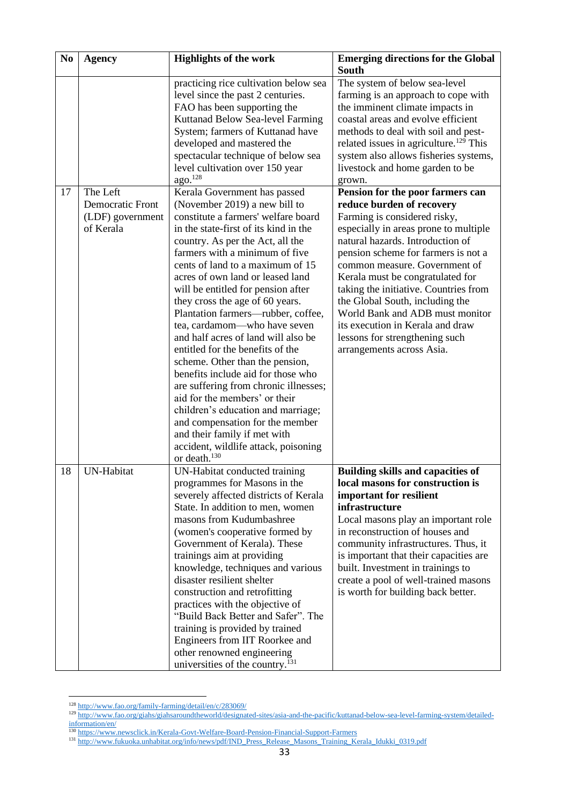| N <sub>0</sub> | <b>Agency</b>           | <b>Highlights of the work</b>               | <b>Emerging directions for the Global</b>          |
|----------------|-------------------------|---------------------------------------------|----------------------------------------------------|
|                |                         |                                             | South                                              |
|                |                         | practicing rice cultivation below sea       | The system of below sea-level                      |
|                |                         | level since the past 2 centuries.           | farming is an approach to cope with                |
|                |                         | FAO has been supporting the                 | the imminent climate impacts in                    |
|                |                         | Kuttanad Below Sea-level Farming            | coastal areas and evolve efficient                 |
|                |                         | System; farmers of Kuttanad have            | methods to deal with soil and pest-                |
|                |                         | developed and mastered the                  | related issues in agriculture. <sup>129</sup> This |
|                |                         | spectacular technique of below sea          | system also allows fisheries systems,              |
|                |                         | level cultivation over 150 year             | livestock and home garden to be                    |
|                |                         | ago. <sup>128</sup>                         | grown.                                             |
| 17             | The Left                | Kerala Government has passed                | Pension for the poor farmers can                   |
|                | <b>Democratic Front</b> | (November 2019) a new bill to               | reduce burden of recovery                          |
|                | (LDF) government        | constitute a farmers' welfare board         | Farming is considered risky,                       |
|                | of Kerala               | in the state-first of its kind in the       | especially in areas prone to multiple              |
|                |                         | country. As per the Act, all the            | natural hazards. Introduction of                   |
|                |                         | farmers with a minimum of five              | pension scheme for farmers is not a                |
|                |                         | cents of land to a maximum of 15            | common measure. Government of                      |
|                |                         | acres of own land or leased land            | Kerala must be congratulated for                   |
|                |                         | will be entitled for pension after          | taking the initiative. Countries from              |
|                |                         | they cross the age of 60 years.             | the Global South, including the                    |
|                |                         | Plantation farmers—rubber, coffee,          | World Bank and ADB must monitor                    |
|                |                         | tea, cardamom—who have seven                | its execution in Kerala and draw                   |
|                |                         | and half acres of land will also be         | lessons for strengthening such                     |
|                |                         | entitled for the benefits of the            | arrangements across Asia.                          |
|                |                         | scheme. Other than the pension,             |                                                    |
|                |                         | benefits include aid for those who          |                                                    |
|                |                         | are suffering from chronic illnesses;       |                                                    |
|                |                         | aid for the members' or their               |                                                    |
|                |                         | children's education and marriage;          |                                                    |
|                |                         | and compensation for the member             |                                                    |
|                |                         | and their family if met with                |                                                    |
|                |                         | accident, wildlife attack, poisoning        |                                                    |
|                |                         | or death. <sup>130</sup>                    |                                                    |
| 18             | UN-Habitat              | UN-Habitat conducted training               | <b>Building skills and capacities of</b>           |
|                |                         | programmes for Masons in the                | local masons for construction is                   |
|                |                         | severely affected districts of Kerala       | important for resilient                            |
|                |                         | State. In addition to men, women            | infrastructure                                     |
|                |                         | masons from Kudumbashree                    | Local masons play an important role                |
|                |                         | (women's cooperative formed by              | in reconstruction of houses and                    |
|                |                         | Government of Kerala). These                | community infrastructures. Thus, it                |
|                |                         | trainings aim at providing                  | is important that their capacities are             |
|                |                         | knowledge, techniques and various           | built. Investment in trainings to                  |
|                |                         | disaster resilient shelter                  | create a pool of well-trained masons               |
|                |                         | construction and retrofitting               | is worth for building back better.                 |
|                |                         | practices with the objective of             |                                                    |
|                |                         | "Build Back Better and Safer". The          |                                                    |
|                |                         | training is provided by trained             |                                                    |
|                |                         | Engineers from IIT Roorkee and              |                                                    |
|                |                         | other renowned engineering                  |                                                    |
|                |                         | universities of the country. <sup>131</sup> |                                                    |

<sup>128</sup> <http://www.fao.org/family-farming/detail/en/c/283069/>

<sup>&</sup>lt;sup>129</sup> [http://www.fao.org/giahs/giahsaroundtheworld/designated-sites/asia-and-the-pacific/kuttanad-below-sea-level-farming-system/detailed](http://www.fao.org/giahs/giahsaroundtheworld/designated-sites/asia-and-the-pacific/kuttanad-below-sea-level-farming-system/detailed-information/en/)[information/en/](http://www.fao.org/giahs/giahsaroundtheworld/designated-sites/asia-and-the-pacific/kuttanad-below-sea-level-farming-system/detailed-information/en/)

<sup>&</sup>lt;sup>130</sup> <https://www.newsclick.in/Kerala-Govt-Welfare-Board-Pension-Financial-Support-Farmers>

<sup>&</sup>lt;sup>131</sup> [http://www.fukuoka.unhabitat.org/info/news/pdf/IND\\_Press\\_Release\\_Masons\\_Training\\_Kerala\\_Idukki\\_0319.pdf](http://www.fukuoka.unhabitat.org/info/news/pdf/IND_Press_Release_Masons_Training_Kerala_Idukki_0319.pdf)